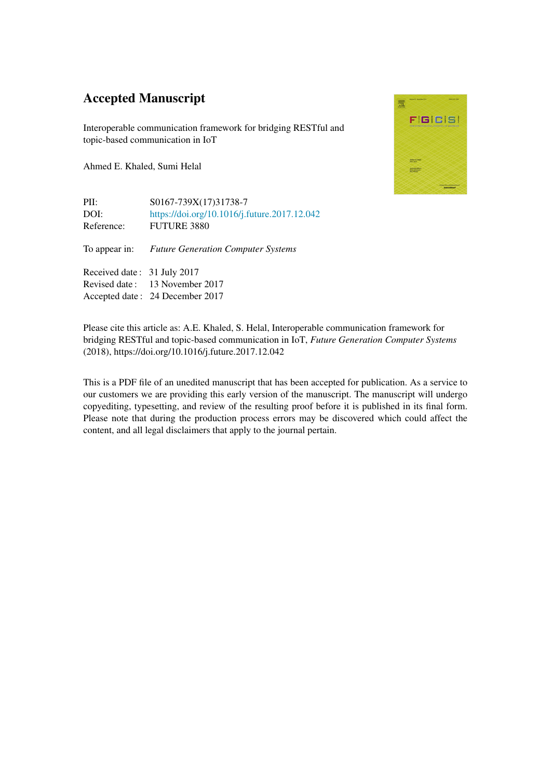## Accepted Manuscript

Interoperable communication framework for bridging RESTful and topic-based communication in IoT

Ahmed E. Khaled, Sumi Helal

PII: S0167-739X(17)31738-7 DOI: <https://doi.org/10.1016/j.future.2017.12.042> Reference: FUTURE 3880

To appear in: *Future Generation Computer Systems*

Received date : 31 July 2017 Revised date : 13 November 2017 Accepted date : 24 December 2017



Please cite this article as: A.E. Khaled, S. Helal, Interoperable communication framework for bridging RESTful and topic-based communication in IoT, *Future Generation Computer Systems* (2018), https://doi.org/10.1016/j.future.2017.12.042

This is a PDF file of an unedited manuscript that has been accepted for publication. As a service to our customers we are providing this early version of the manuscript. The manuscript will undergo copyediting, typesetting, and review of the resulting proof before it is published in its final form. Please note that during the production process errors may be discovered which could affect the content, and all legal disclaimers that apply to the journal pertain.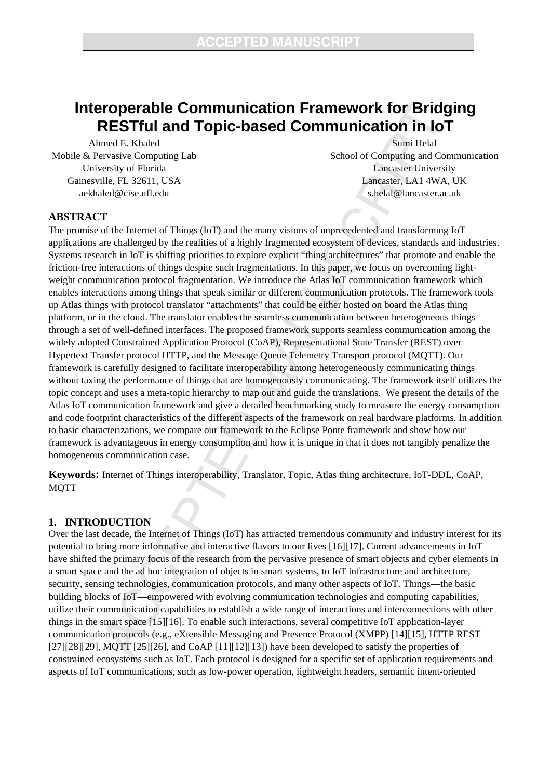# **Interoperable Communication Framework for Bridging RESTful and Topic-based Communication in IoT**

Ahmed E. Khaled Mobile & Pervasive Computing Lab University of Florida Gainesville, FL 32611, USA aekhaled@cise.ufl.edu

Sumi Helal School of Computing and Communication Lancaster University Lancaster, LA1 4WA, UK s.helal@lancaster.ac.uk

## **ABSTRACT**

The promise of the Internet of Things (IoT) and the many visions of unprecedented and transforming IoT applications are challenged by the realities of a highly fragmented ecosystem of devices, standards and industries. Systems research in IoT is shifting priorities to explore explicit "thing architectures" that promote and enable the friction-free interactions of things despite such fragmentations. In this paper, we focus on overcoming lightweight communication protocol fragmentation. We introduce the Atlas IoT communication framework which enables interactions among things that speak similar or different communication protocols. The framework tools up Atlas things with protocol translator "attachments" that could be either hosted on board the Atlas thing platform, or in the cloud. The translator enables the seamless communication between heterogeneous things through a set of well-defined interfaces. The proposed framework supports seamless communication among the widely adopted Constrained Application Protocol (CoAP), Representational State Transfer (REST) over Hypertext Transfer protocol HTTP, and the Message Queue Telemetry Transport protocol (MQTT). Our framework is carefully designed to facilitate interoperability among heterogeneously communicating things without taxing the performance of things that are homogenously communicating. The framework itself utilizes the topic concept and uses a meta-topic hierarchy to map out and guide the translations. We present the details of the Atlas IoT communication framework and give a detailed benchmarking study to measure the energy consumption and code footprint characteristics of the different aspects of the framework on real hardware platforms. In addition to basic characterizations, we compare our framework to the Eclipse Ponte framework and show how our framework is advantageous in energy consumption and how it is unique in that it does not tangibly penalize the homogeneous communication case.

**Keywords:** Internet of Things interoperability, Translator, Topic, Atlas thing architecture, IoT-DDL, CoAP, MQTT

## **1. INTRODUCTION**

Over the last decade, the Internet of Things (IoT) has attracted tremendous community and industry interest for its potential to bring more informative and interactive flavors to our lives [16][17]. Current advancements in IoT have shifted the primary focus of the research from the pervasive presence of smart objects and cyber elements in a smart space and the ad hoc integration of objects in smart systems, to IoT infrastructure and architecture, security, sensing technologies, communication protocols, and many other aspects of IoT. Things—the basic building blocks of IoT—empowered with evolving communication technologies and computing capabilities, utilize their communication capabilities to establish a wide range of interactions and interconnections with other things in the smart space [15][16]. To enable such interactions, several competitive IoT application-layer communication protocols (e.g., eXtensible Messaging and Presence Protocol (XMPP) [14][15], HTTP REST  $[27][28][29]$ , MQTT  $[25][26]$ , and CoAP  $[11][12][13]$ ) have been developed to satisfy the properties of constrained ecosystems such as IoT. Each protocol is designed for a specific set of application requirements and aspects of IoT communications, such as low-power operation, lightweight headers, semantic intent-oriented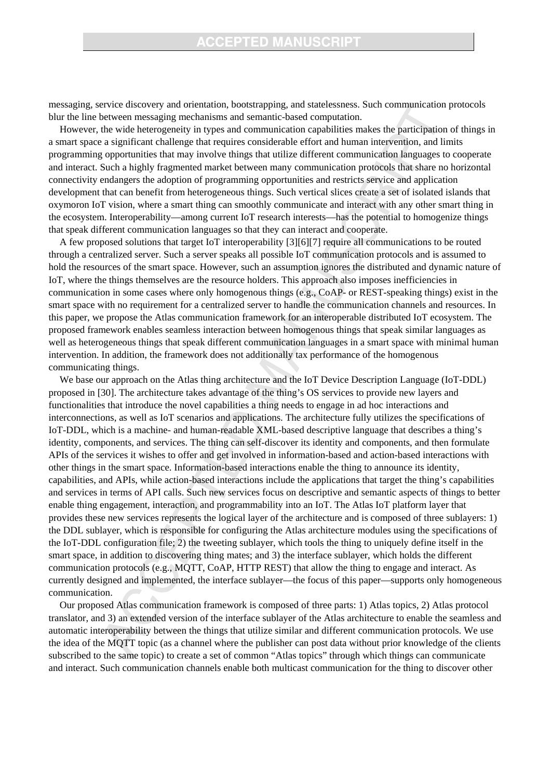## **ACCEPTED MANUSCRIPT**

messaging, service discovery and orientation, bootstrapping, and statelessness. Such communication protocols blur the line between messaging mechanisms and semantic-based computation.

However, the wide heterogeneity in types and communication capabilities makes the participation of things in a smart space a significant challenge that requires considerable effort and human intervention, and limits programming opportunities that may involve things that utilize different communication languages to cooperate and interact. Such a highly fragmented market between many communication protocols that share no horizontal connectivity endangers the adoption of programming opportunities and restricts service and application development that can benefit from heterogeneous things. Such vertical slices create a set of isolated islands that oxymoron IoT vision, where a smart thing can smoothly communicate and interact with any other smart thing in the ecosystem. Interoperability—among current IoT research interests—has the potential to homogenize things that speak different communication languages so that they can interact and cooperate.

A few proposed solutions that target IoT interoperability [3][6][7] require all communications to be routed through a centralized server. Such a server speaks all possible IoT communication protocols and is assumed to hold the resources of the smart space. However, such an assumption ignores the distributed and dynamic nature of IoT, where the things themselves are the resource holders. This approach also imposes inefficiencies in communication in some cases where only homogenous things (e.g., CoAP- or REST-speaking things) exist in the smart space with no requirement for a centralized server to handle the communication channels and resources. In this paper, we propose the Atlas communication framework for an interoperable distributed IoT ecosystem. The proposed framework enables seamless interaction between homogenous things that speak similar languages as well as heterogeneous things that speak different communication languages in a smart space with minimal human intervention. In addition, the framework does not additionally tax performance of the homogenous communicating things.

We base our approach on the Atlas thing architecture and the IoT Device Description Language (IoT-DDL) proposed in [30]. The architecture takes advantage of the thing's OS services to provide new layers and functionalities that introduce the novel capabilities a thing needs to engage in ad hoc interactions and interconnections, as well as IoT scenarios and applications. The architecture fully utilizes the specifications of IoT-DDL, which is a machine- and human-readable XML-based descriptive language that describes a thing's identity, components, and services. The thing can self-discover its identity and components, and then formulate APIs of the services it wishes to offer and get involved in information-based and action-based interactions with other things in the smart space. Information-based interactions enable the thing to announce its identity, capabilities, and APIs, while action-based interactions include the applications that target the thing's capabilities and services in terms of API calls. Such new services focus on descriptive and semantic aspects of things to better enable thing engagement, interaction, and programmability into an IoT. The Atlas IoT platform layer that provides these new services represents the logical layer of the architecture and is composed of three sublayers: 1) the DDL sublayer, which is responsible for configuring the Atlas architecture modules using the specifications of the IoT-DDL configuration file; 2) the tweeting sublayer, which tools the thing to uniquely define itself in the smart space, in addition to discovering thing mates; and 3) the interface sublayer, which holds the different communication protocols (e.g., MQTT, CoAP, HTTP REST) that allow the thing to engage and interact. As currently designed and implemented, the interface sublayer—the focus of this paper—supports only homogeneous communication.

Our proposed Atlas communication framework is composed of three parts: 1) Atlas topics, 2) Atlas protocol translator, and 3) an extended version of the interface sublayer of the Atlas architecture to enable the seamless and automatic interoperability between the things that utilize similar and different communication protocols. We use the idea of the MQTT topic (as a channel where the publisher can post data without prior knowledge of the clients subscribed to the same topic) to create a set of common "Atlas topics" through which things can communicate and interact. Such communication channels enable both multicast communication for the thing to discover other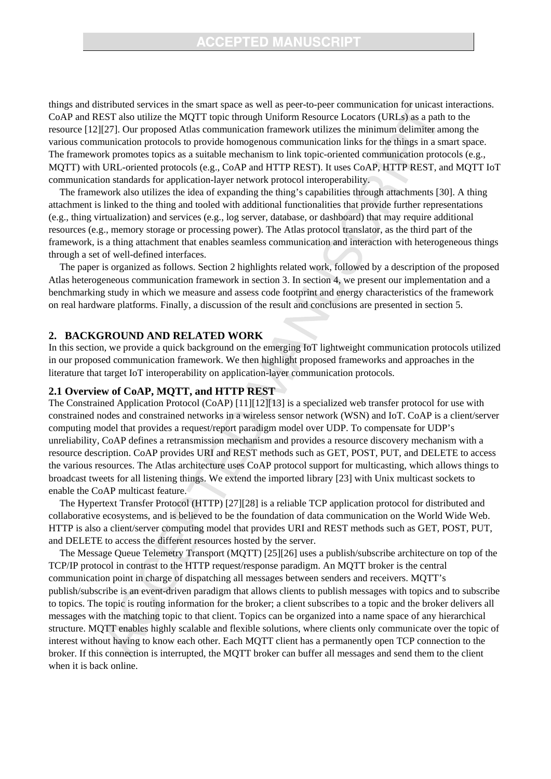things and distributed services in the smart space as well as peer-to-peer communication for unicast interactions. CoAP and REST also utilize the MQTT topic through Uniform Resource Locators (URLs) as a path to the resource [12][27]. Our proposed Atlas communication framework utilizes the minimum delimiter among the various communication protocols to provide homogenous communication links for the things in a smart space. The framework promotes topics as a suitable mechanism to link topic-oriented communication protocols (e.g., MQTT) with URL-oriented protocols (e.g., CoAP and HTTP REST). It uses CoAP, HTTP REST, and MQTT IoT communication standards for application-layer network protocol interoperability.

The framework also utilizes the idea of expanding the thing's capabilities through attachments [30]. A thing attachment is linked to the thing and tooled with additional functionalities that provide further representations (e.g., thing virtualization) and services (e.g., log server, database, or dashboard) that may require additional resources (e.g., memory storage or processing power). The Atlas protocol translator, as the third part of the framework, is a thing attachment that enables seamless communication and interaction with heterogeneous things through a set of well-defined interfaces.

The paper is organized as follows. Section 2 highlights related work, followed by a description of the proposed Atlas heterogeneous communication framework in section 3. In section 4, we present our implementation and a benchmarking study in which we measure and assess code footprint and energy characteristics of the framework on real hardware platforms. Finally, a discussion of the result and conclusions are presented in section 5.

### **2. BACKGROUND AND RELATED WORK**

In this section, we provide a quick background on the emerging IoT lightweight communication protocols utilized in our proposed communication framework. We then highlight proposed frameworks and approaches in the literature that target IoT interoperability on application-layer communication protocols.

### **2.1 Overview of CoAP, MQTT, and HTTP REST**

The Constrained Application Protocol (CoAP) [11][12][13] is a specialized web transfer protocol for use with constrained nodes and constrained networks in a wireless sensor network (WSN) and IoT. CoAP is a client/server computing model that provides a request/report paradigm model over UDP. To compensate for UDP's unreliability, CoAP defines a retransmission mechanism and provides a resource discovery mechanism with a resource description. CoAP provides URI and REST methods such as GET, POST, PUT, and DELETE to access the various resources. The Atlas architecture uses CoAP protocol support for multicasting, which allows things to broadcast tweets for all listening things. We extend the imported library [23] with Unix multicast sockets to enable the CoAP multicast feature.

The Hypertext Transfer Protocol (HTTP) [27][28] is a reliable TCP application protocol for distributed and collaborative ecosystems, and is believed to be the foundation of data communication on the World Wide Web. HTTP is also a client/server computing model that provides URI and REST methods such as GET, POST, PUT, and DELETE to access the different resources hosted by the server.

The Message Queue Telemetry Transport (MQTT) [25][26] uses a publish/subscribe architecture on top of the TCP/IP protocol in contrast to the HTTP request/response paradigm. An MQTT broker is the central communication point in charge of dispatching all messages between senders and receivers. MQTT's publish/subscribe is an event-driven paradigm that allows clients to publish messages with topics and to subscribe to topics. The topic is routing information for the broker; a client subscribes to a topic and the broker delivers all messages with the matching topic to that client. Topics can be organized into a name space of any hierarchical structure. MQTT enables highly scalable and flexible solutions, where clients only communicate over the topic of interest without having to know each other. Each MQTT client has a permanently open TCP connection to the broker. If this connection is interrupted, the MQTT broker can buffer all messages and send them to the client when it is back online.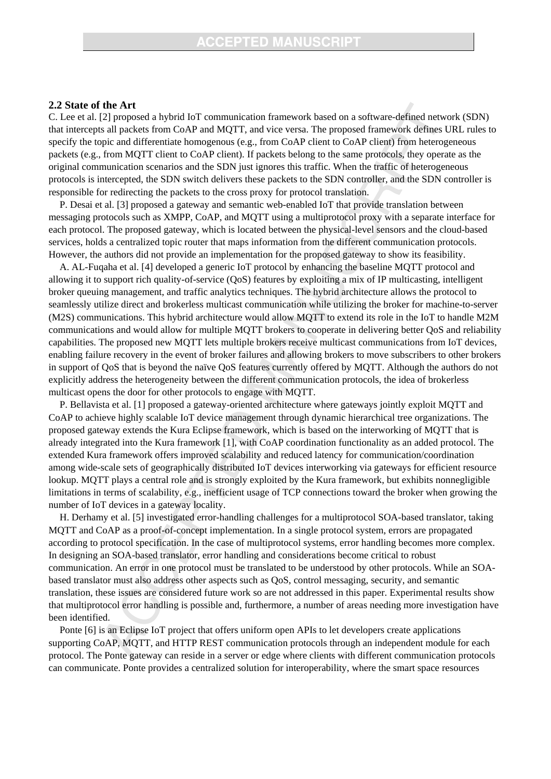#### **2.2 State of the Art**

C. Lee et al. [2] proposed a hybrid IoT communication framework based on a software-defined network (SDN) that intercepts all packets from CoAP and MQTT, and vice versa. The proposed framework defines URL rules to specify the topic and differentiate homogenous (e.g., from CoAP client to CoAP client) from heterogeneous packets (e.g., from MQTT client to CoAP client). If packets belong to the same protocols, they operate as the original communication scenarios and the SDN just ignores this traffic. When the traffic of heterogeneous protocols is intercepted, the SDN switch delivers these packets to the SDN controller, and the SDN controller is responsible for redirecting the packets to the cross proxy for protocol translation.

P. Desai et al. [3] proposed a gateway and semantic web-enabled IoT that provide translation between messaging protocols such as XMPP, CoAP, and MQTT using a multiprotocol proxy with a separate interface for each protocol. The proposed gateway, which is located between the physical-level sensors and the cloud-based services, holds a centralized topic router that maps information from the different communication protocols. However, the authors did not provide an implementation for the proposed gateway to show its feasibility.

A. AL-Fuqaha et al. [4] developed a generic IoT protocol by enhancing the baseline MQTT protocol and allowing it to support rich quality-of-service (QoS) features by exploiting a mix of IP multicasting, intelligent broker queuing management, and traffic analytics techniques. The hybrid architecture allows the protocol to seamlessly utilize direct and brokerless multicast communication while utilizing the broker for machine-to-server (M2S) communications. This hybrid architecture would allow MQTT to extend its role in the IoT to handle M2M communications and would allow for multiple MQTT brokers to cooperate in delivering better QoS and reliability capabilities. The proposed new MQTT lets multiple brokers receive multicast communications from IoT devices, enabling failure recovery in the event of broker failures and allowing brokers to move subscribers to other brokers in support of QoS that is beyond the naïve QoS features currently offered by MQTT. Although the authors do not explicitly address the heterogeneity between the different communication protocols, the idea of brokerless multicast opens the door for other protocols to engage with MQTT.

P. Bellavista et al. [1] proposed a gateway-oriented architecture where gateways jointly exploit MQTT and CoAP to achieve highly scalable IoT device management through dynamic hierarchical tree organizations. The proposed gateway extends the Kura Eclipse framework, which is based on the interworking of MQTT that is already integrated into the Kura framework [1], with CoAP coordination functionality as an added protocol. The extended Kura framework offers improved scalability and reduced latency for communication/coordination among wide-scale sets of geographically distributed IoT devices interworking via gateways for efficient resource lookup. MQTT plays a central role and is strongly exploited by the Kura framework, but exhibits nonnegligible limitations in terms of scalability, e.g., inefficient usage of TCP connections toward the broker when growing the number of IoT devices in a gateway locality.

H. Derhamy et al. [5] investigated error-handling challenges for a multiprotocol SOA-based translator, taking MQTT and CoAP as a proof-of-concept implementation. In a single protocol system, errors are propagated according to protocol specification. In the case of multiprotocol systems, error handling becomes more complex. In designing an SOA-based translator, error handling and considerations become critical to robust communication. An error in one protocol must be translated to be understood by other protocols. While an SOAbased translator must also address other aspects such as QoS, control messaging, security, and semantic translation, these issues are considered future work so are not addressed in this paper. Experimental results show that multiprotocol error handling is possible and, furthermore, a number of areas needing more investigation have been identified.

Ponte [6] is an Eclipse IoT project that offers uniform open APIs to let developers create applications supporting CoAP, MQTT, and HTTP REST communication protocols through an independent module for each protocol. The Ponte gateway can reside in a server or edge where clients with different communication protocols can communicate. Ponte provides a centralized solution for interoperability, where the smart space resources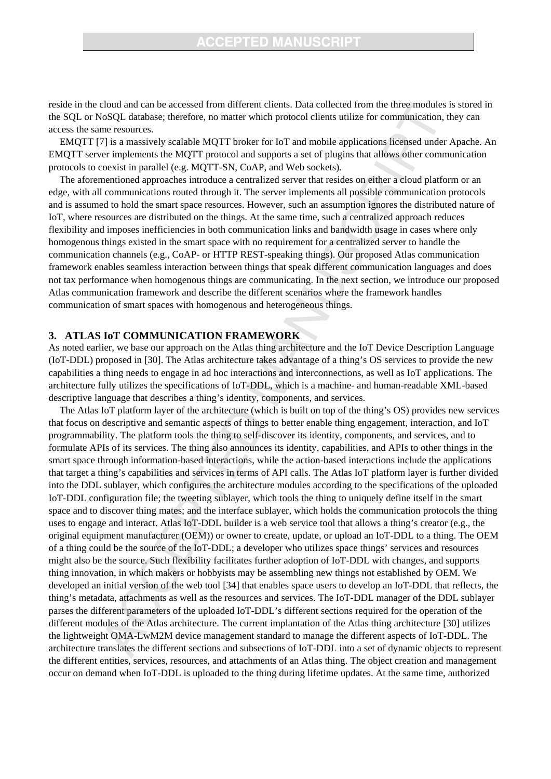reside in the cloud and can be accessed from different clients. Data collected from the three modules is stored in the SQL or NoSQL database; therefore, no matter which protocol clients utilize for communication, they can access the same resources.

EMQTT [7] is a massively scalable MQTT broker for IoT and mobile applications licensed under Apache. An EMQTT server implements the MQTT protocol and supports a set of plugins that allows other communication protocols to coexist in parallel (e.g. MQTT-SN, CoAP, and Web sockets).

The aforementioned approaches introduce a centralized server that resides on either a cloud platform or an edge, with all communications routed through it. The server implements all possible communication protocols and is assumed to hold the smart space resources. However, such an assumption ignores the distributed nature of IoT, where resources are distributed on the things. At the same time, such a centralized approach reduces flexibility and imposes inefficiencies in both communication links and bandwidth usage in cases where only homogenous things existed in the smart space with no requirement for a centralized server to handle the communication channels (e.g., CoAP- or HTTP REST-speaking things). Our proposed Atlas communication framework enables seamless interaction between things that speak different communication languages and does not tax performance when homogenous things are communicating. In the next section, we introduce our proposed Atlas communication framework and describe the different scenarios where the framework handles communication of smart spaces with homogenous and heterogeneous things.

## **3. ATLAS IoT COMMUNICATION FRAMEWORK**

As noted earlier, we base our approach on the Atlas thing architecture and the IoT Device Description Language (IoT-DDL) proposed in [30]. The Atlas architecture takes advantage of a thing's OS services to provide the new capabilities a thing needs to engage in ad hoc interactions and interconnections, as well as IoT applications. The architecture fully utilizes the specifications of IoT-DDL, which is a machine- and human-readable XML-based descriptive language that describes a thing's identity, components, and services.

The Atlas IoT platform layer of the architecture (which is built on top of the thing's OS) provides new services that focus on descriptive and semantic aspects of things to better enable thing engagement, interaction, and IoT programmability. The platform tools the thing to self-discover its identity, components, and services, and to formulate APIs of its services. The thing also announces its identity, capabilities, and APIs to other things in the smart space through information-based interactions, while the action-based interactions include the applications that target a thing's capabilities and services in terms of API calls. The Atlas IoT platform layer is further divided into the DDL sublayer, which configures the architecture modules according to the specifications of the uploaded IoT-DDL configuration file; the tweeting sublayer, which tools the thing to uniquely define itself in the smart space and to discover thing mates; and the interface sublayer, which holds the communication protocols the thing uses to engage and interact. Atlas IoT-DDL builder is a web service tool that allows a thing's creator (e.g., the original equipment manufacturer (OEM)) or owner to create, update, or upload an IoT-DDL to a thing. The OEM of a thing could be the source of the IoT-DDL; a developer who utilizes space things' services and resources might also be the source. Such flexibility facilitates further adoption of IoT-DDL with changes, and supports thing innovation, in which makers or hobbyists may be assembling new things not established by OEM. We developed an initial version of the web tool [34] that enables space users to develop an IoT-DDL that reflects, the thing's metadata, attachments as well as the resources and services. The IoT-DDL manager of the DDL sublayer parses the different parameters of the uploaded IoT-DDL's different sections required for the operation of the different modules of the Atlas architecture. The current implantation of the Atlas thing architecture [30] utilizes the lightweight OMA-LwM2M device management standard to manage the different aspects of IoT-DDL. The architecture translates the different sections and subsections of IoT-DDL into a set of dynamic objects to represent the different entities, services, resources, and attachments of an Atlas thing. The object creation and management occur on demand when IoT-DDL is uploaded to the thing during lifetime updates. At the same time, authorized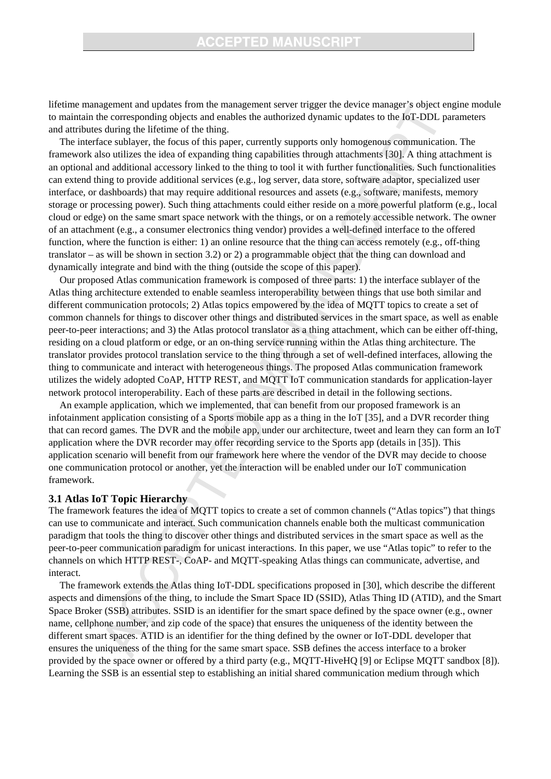## **CCEPTED MANUSCRIPT**

lifetime management and updates from the management server trigger the device manager's object engine module to maintain the corresponding objects and enables the authorized dynamic updates to the IoT-DDL parameters and attributes during the lifetime of the thing.

The interface sublayer, the focus of this paper, currently supports only homogenous communication. The framework also utilizes the idea of expanding thing capabilities through attachments [30]. A thing attachment is an optional and additional accessory linked to the thing to tool it with further functionalities. Such functionalities can extend thing to provide additional services (e.g., log server, data store, software adaptor, specialized user interface, or dashboards) that may require additional resources and assets (e.g., software, manifests, memory storage or processing power). Such thing attachments could either reside on a more powerful platform (e.g., local cloud or edge) on the same smart space network with the things, or on a remotely accessible network. The owner of an attachment (e.g., a consumer electronics thing vendor) provides a well-defined interface to the offered function, where the function is either: 1) an online resource that the thing can access remotely (e.g., off-thing translator – as will be shown in section 3.2) or 2) a programmable object that the thing can download and dynamically integrate and bind with the thing (outside the scope of this paper).

Our proposed Atlas communication framework is composed of three parts: 1) the interface sublayer of the Atlas thing architecture extended to enable seamless interoperability between things that use both similar and different communication protocols; 2) Atlas topics empowered by the idea of MQTT topics to create a set of common channels for things to discover other things and distributed services in the smart space, as well as enable peer-to-peer interactions; and 3) the Atlas protocol translator as a thing attachment, which can be either off-thing, residing on a cloud platform or edge, or an on-thing service running within the Atlas thing architecture. The translator provides protocol translation service to the thing through a set of well-defined interfaces, allowing the thing to communicate and interact with heterogeneous things. The proposed Atlas communication framework utilizes the widely adopted CoAP, HTTP REST, and MQTT IoT communication standards for application-layer network protocol interoperability. Each of these parts are described in detail in the following sections.

An example application, which we implemented, that can benefit from our proposed framework is an infotainment application consisting of a Sports mobile app as a thing in the IoT [35], and a DVR recorder thing that can record games. The DVR and the mobile app, under our architecture, tweet and learn they can form an IoT application where the DVR recorder may offer recording service to the Sports app (details in [35]). This application scenario will benefit from our framework here where the vendor of the DVR may decide to choose one communication protocol or another, yet the interaction will be enabled under our IoT communication framework.

#### **3.1 Atlas IoT Topic Hierarchy**

The framework features the idea of MQTT topics to create a set of common channels ("Atlas topics") that things can use to communicate and interact. Such communication channels enable both the multicast communication paradigm that tools the thing to discover other things and distributed services in the smart space as well as the peer-to-peer communication paradigm for unicast interactions. In this paper, we use "Atlas topic" to refer to the channels on which HTTP REST-, CoAP- and MQTT-speaking Atlas things can communicate, advertise, and interact.

The framework extends the Atlas thing IoT-DDL specifications proposed in [30], which describe the different aspects and dimensions of the thing, to include the Smart Space ID (SSID), Atlas Thing ID (ATID), and the Smart Space Broker (SSB) attributes. SSID is an identifier for the smart space defined by the space owner (e.g., owner name, cellphone number, and zip code of the space) that ensures the uniqueness of the identity between the different smart spaces. ATID is an identifier for the thing defined by the owner or IoT-DDL developer that ensures the uniqueness of the thing for the same smart space. SSB defines the access interface to a broker provided by the space owner or offered by a third party (e.g., MQTT-HiveHQ [9] or Eclipse MQTT sandbox [8]). Learning the SSB is an essential step to establishing an initial shared communication medium through which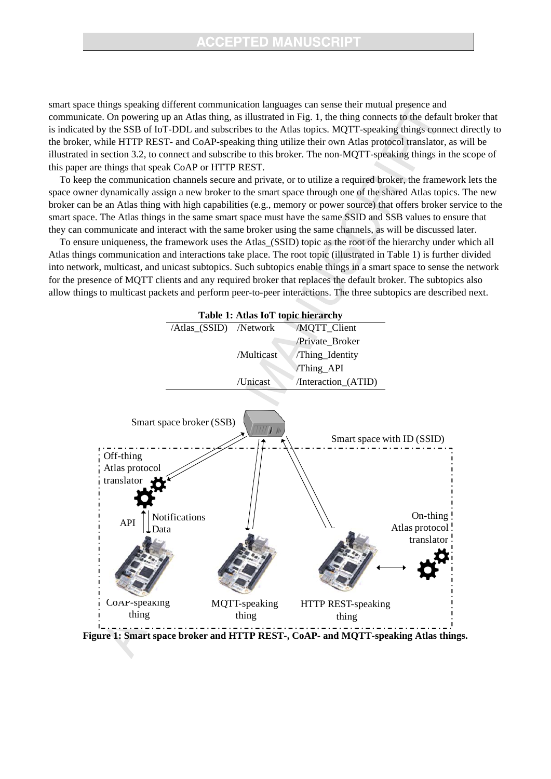smart space things speaking different communication languages can sense their mutual presence and communicate. On powering up an Atlas thing, as illustrated in Fig. 1, the thing connects to the default broker that is indicated by the SSB of IoT-DDL and subscribes to the Atlas topics. MQTT-speaking things connect directly to the broker, while HTTP REST- and CoAP-speaking thing utilize their own Atlas protocol translator, as will be illustrated in section 3.2, to connect and subscribe to this broker. The non-MQTT-speaking things in the scope of this paper are things that speak CoAP or HTTP REST.

To keep the communication channels secure and private, or to utilize a required broker, the framework lets the space owner dynamically assign a new broker to the smart space through one of the shared Atlas topics. The new broker can be an Atlas thing with high capabilities (e.g., memory or power source) that offers broker service to the smart space. The Atlas things in the same smart space must have the same SSID and SSB values to ensure that they can communicate and interact with the same broker using the same channels, as will be discussed later.

To ensure uniqueness, the framework uses the Atlas\_(SSID) topic as the root of the hierarchy under which all Atlas things communication and interactions take place. The root topic (illustrated in Table 1) is further divided into network, multicast, and unicast subtopics. Such subtopics enable things in a smart space to sense the network for the presence of MQTT clients and any required broker that replaces the default broker. The subtopics also allow things to multicast packets and perform peer-to-peer interactions. The three subtopics are described next.



**Figure 1: Smart space broker and HTTP REST-, CoAP- and MQTT-speaking Atlas things.**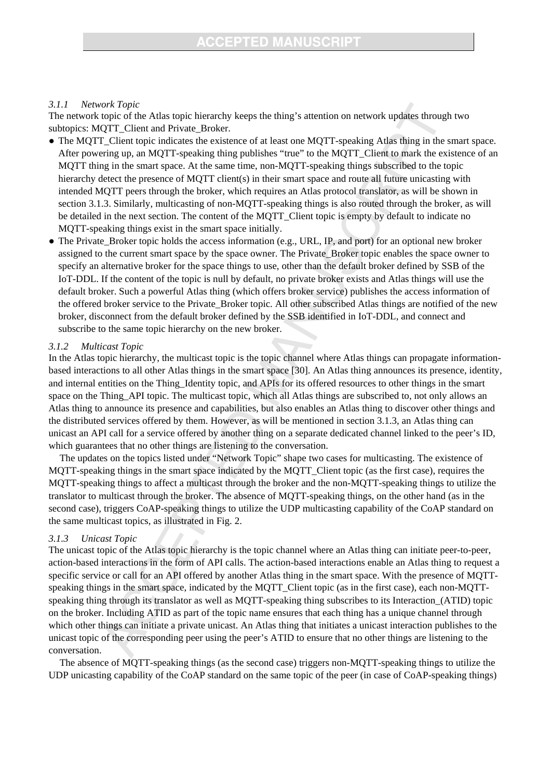### *3.1.1 Network Topic*

The network topic of the Atlas topic hierarchy keeps the thing's attention on network updates through two subtopics: MQTT\_Client and Private\_Broker.

- The MQTT\_Client topic indicates the existence of at least one MQTT-speaking Atlas thing in the smart space. After powering up, an MQTT-speaking thing publishes "true" to the MQTT\_Client to mark the existence of an MQTT thing in the smart space. At the same time, non-MQTT-speaking things subscribed to the topic hierarchy detect the presence of MQTT client(s) in their smart space and route all future unicasting with intended MQTT peers through the broker, which requires an Atlas protocol translator, as will be shown in section 3.1.3. Similarly, multicasting of non-MQTT-speaking things is also routed through the broker, as will be detailed in the next section. The content of the MQTT\_Client topic is empty by default to indicate no MQTT-speaking things exist in the smart space initially.
- The Private Broker topic holds the access information (e.g., URL, IP, and port) for an optional new broker assigned to the current smart space by the space owner. The Private\_Broker topic enables the space owner to specify an alternative broker for the space things to use, other than the default broker defined by SSB of the IoT-DDL. If the content of the topic is null by default, no private broker exists and Atlas things will use the default broker. Such a powerful Atlas thing (which offers broker service) publishes the access information of the offered broker service to the Private\_Broker topic. All other subscribed Atlas things are notified of the new broker, disconnect from the default broker defined by the SSB identified in IoT-DDL, and connect and subscribe to the same topic hierarchy on the new broker.

#### *3.1.2 Multicast Topic*

In the Atlas topic hierarchy, the multicast topic is the topic channel where Atlas things can propagate informationbased interactions to all other Atlas things in the smart space [30]. An Atlas thing announces its presence, identity, and internal entities on the Thing\_Identity topic, and APIs for its offered resources to other things in the smart space on the Thing\_API topic. The multicast topic, which all Atlas things are subscribed to, not only allows an Atlas thing to announce its presence and capabilities, but also enables an Atlas thing to discover other things and the distributed services offered by them. However, as will be mentioned in section 3.1.3, an Atlas thing can unicast an API call for a service offered by another thing on a separate dedicated channel linked to the peer's ID, which guarantees that no other things are listening to the conversation.

The updates on the topics listed under "Network Topic" shape two cases for multicasting. The existence of MQTT-speaking things in the smart space indicated by the MQTT\_Client topic (as the first case), requires the MQTT-speaking things to affect a multicast through the broker and the non-MQTT-speaking things to utilize the translator to multicast through the broker. The absence of MQTT-speaking things, on the other hand (as in the second case), triggers CoAP-speaking things to utilize the UDP multicasting capability of the CoAP standard on the same multicast topics, as illustrated in Fig. 2.

## *3.1.3 Unicast Topic*

The unicast topic of the Atlas topic hierarchy is the topic channel where an Atlas thing can initiate peer-to-peer, action-based interactions in the form of API calls. The action-based interactions enable an Atlas thing to request a specific service or call for an API offered by another Atlas thing in the smart space. With the presence of MQTTspeaking things in the smart space, indicated by the MQTT\_Client topic (as in the first case), each non-MQTTspeaking thing through its translator as well as MQTT-speaking thing subscribes to its Interaction\_(ATID) topic on the broker. Including ATID as part of the topic name ensures that each thing has a unique channel through which other things can initiate a private unicast. An Atlas thing that initiates a unicast interaction publishes to the unicast topic of the corresponding peer using the peer's ATID to ensure that no other things are listening to the conversation.

The absence of MQTT-speaking things (as the second case) triggers non-MQTT-speaking things to utilize the UDP unicasting capability of the CoAP standard on the same topic of the peer (in case of CoAP-speaking things)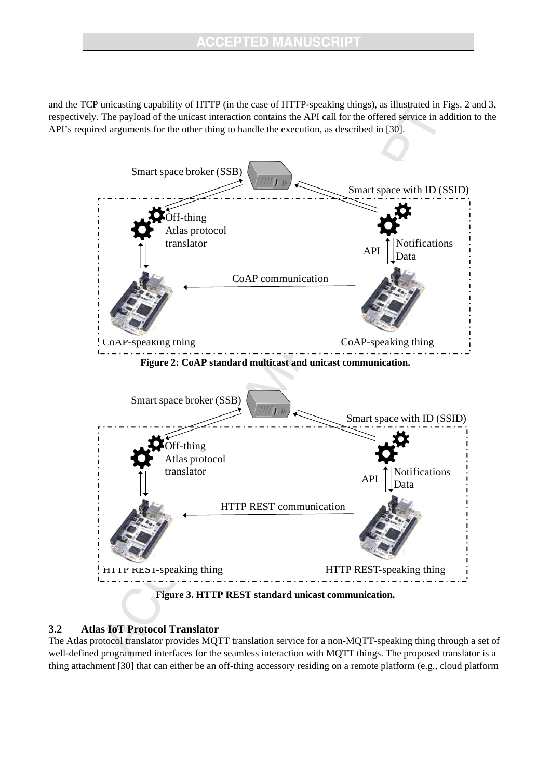and the TCP unicasting capability of HTTP (in the case of HTTP-speaking things), as illustrated in Figs. 2 and 3, respectively. The payload of the unicast interaction contains the API call for the offered service in addition to the API's required arguments for the other thing to handle the execution, as described in [30].



## **3.2 Atlas IoT Protocol Translator**

The Atlas protocol translator provides MQTT translation service for a non-MQTT-speaking thing through a set of well-defined programmed interfaces for the seamless interaction with MQTT things. The proposed translator is a thing attachment [30] that can either be an off-thing accessory residing on a remote platform (e.g., cloud platform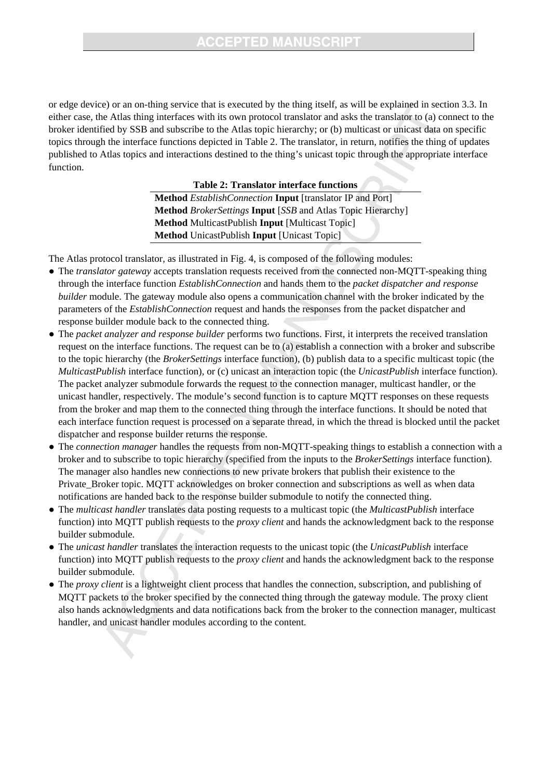or edge device) or an on-thing service that is executed by the thing itself, as will be explained in section 3.3. In either case, the Atlas thing interfaces with its own protocol translator and asks the translator to (a) connect to the broker identified by SSB and subscribe to the Atlas topic hierarchy; or (b) multicast or unicast data on specific topics through the interface functions depicted in Table 2. The translator, in return, notifies the thing of updates published to Atlas topics and interactions destined to the thing's unicast topic through the appropriate interface function.

**Table 2: Translator interface functions** 

**Method** *EstablishConnection* **Input** [translator IP and Port] **Method** *BrokerSettings* **Input** [*SSB* and Atlas Topic Hierarchy] **Method** MulticastPublish **Input** [Multicast Topic] **Method** UnicastPublish **Input** [Unicast Topic]

The Atlas protocol translator, as illustrated in Fig. 4, is composed of the following modules:

- The *translator gateway* accepts translation requests received from the connected non-MQTT-speaking thing through the interface function *EstablishConnection* and hands them to the *packet dispatcher and response builder* module. The gateway module also opens a communication channel with the broker indicated by the parameters of the *EstablishConnection* request and hands the responses from the packet dispatcher and response builder module back to the connected thing.
- The *packet analyzer and response builder* performs two functions. First, it interprets the received translation request on the interface functions. The request can be to (a) establish a connection with a broker and subscribe to the topic hierarchy (the *BrokerSettings* interface function), (b) publish data to a specific multicast topic (the *MulticastPublish* interface function), or (c) unicast an interaction topic (the *UnicastPublish* interface function). The packet analyzer submodule forwards the request to the connection manager, multicast handler, or the unicast handler, respectively. The module's second function is to capture MQTT responses on these requests from the broker and map them to the connected thing through the interface functions. It should be noted that each interface function request is processed on a separate thread, in which the thread is blocked until the packet dispatcher and response builder returns the response.
- The *connection manager* handles the requests from non-MQTT-speaking things to establish a connection with a broker and to subscribe to topic hierarchy (specified from the inputs to the *BrokerSettings* interface function). The manager also handles new connections to new private brokers that publish their existence to the Private\_Broker topic. MQTT acknowledges on broker connection and subscriptions as well as when data notifications are handed back to the response builder submodule to notify the connected thing.
- The *multicast handler* translates data posting requests to a multicast topic (the *MulticastPublish* interface function) into MQTT publish requests to the *proxy client* and hands the acknowledgment back to the response builder submodule.
- The *unicast handler* translates the interaction requests to the unicast topic (the *UnicastPublish* interface function) into MQTT publish requests to the *proxy client* and hands the acknowledgment back to the response builder submodule.
- The *proxy client* is a lightweight client process that handles the connection, subscription, and publishing of MQTT packets to the broker specified by the connected thing through the gateway module. The proxy client also hands acknowledgments and data notifications back from the broker to the connection manager, multicast handler, and unicast handler modules according to the content.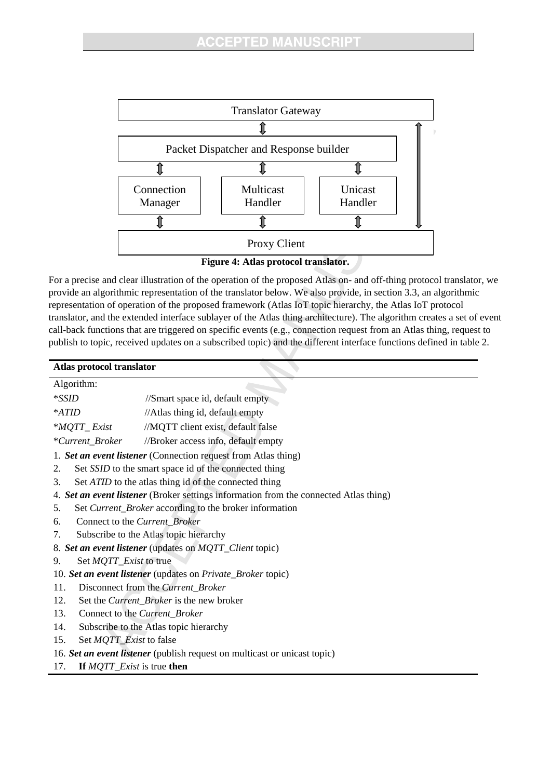

**Figure 4: Atlas protocol translator.** 

For a precise and clear illustration of the operation of the proposed Atlas on- and off-thing protocol translator, we provide an algorithmic representation of the translator below. We also provide, in section 3.3, an algorithmic representation of operation of the proposed framework (Atlas IoT topic hierarchy, the Atlas IoT protocol translator, and the extended interface sublayer of the Atlas thing architecture). The algorithm creates a set of event call-back functions that are triggered on specific events (e.g., connection request from an Atlas thing, request to publish to topic, received updates on a subscribed topic) and the different interface functions defined in table 2.

| Atlas protocol translator                                   |                                                                                       |  |  |
|-------------------------------------------------------------|---------------------------------------------------------------------------------------|--|--|
| Algorithm:                                                  |                                                                                       |  |  |
| $*SSID$                                                     | //Smart space id, default empty                                                       |  |  |
| *ATID                                                       | //Atlas thing id, default empty                                                       |  |  |
| $^*MQTT\_Exist$                                             | //MQTT client exist, default false                                                    |  |  |
| *Current Broker                                             | //Broker access info, default empty                                                   |  |  |
|                                                             | 1. Set an event listener (Connection request from Atlas thing)                        |  |  |
| 2.                                                          | Set SSID to the smart space id of the connected thing                                 |  |  |
| 3.                                                          | Set ATID to the atlas thing id of the connected thing                                 |  |  |
|                                                             | 4. Set an event listener (Broker settings information from the connected Atlas thing) |  |  |
| 5.                                                          | Set Current_Broker according to the broker information                                |  |  |
| 6.                                                          | Connect to the Current_Broker                                                         |  |  |
| 7.                                                          | Subscribe to the Atlas topic hierarchy                                                |  |  |
|                                                             | 8. Set an event listener (updates on MQTT_Client topic)                               |  |  |
| Set <i>MQTT_Exist</i> to true<br>9.                         |                                                                                       |  |  |
| 10. Set an event listener (updates on Private_Broker topic) |                                                                                       |  |  |
| 11.                                                         | Disconnect from the Current_Broker                                                    |  |  |
| 12.                                                         | Set the <i>Current_Broker</i> is the new broker                                       |  |  |
| 13.                                                         | Connect to the Current_Broker                                                         |  |  |
| 14.                                                         | Subscribe to the Atlas topic hierarchy                                                |  |  |
| 15.<br>Set <i>MQTT_Exist</i> to false                       |                                                                                       |  |  |
|                                                             | 16. Set an event listener (publish request on multicast or unicast topic)             |  |  |

17. **If** *MQTT\_Exist* is true **then**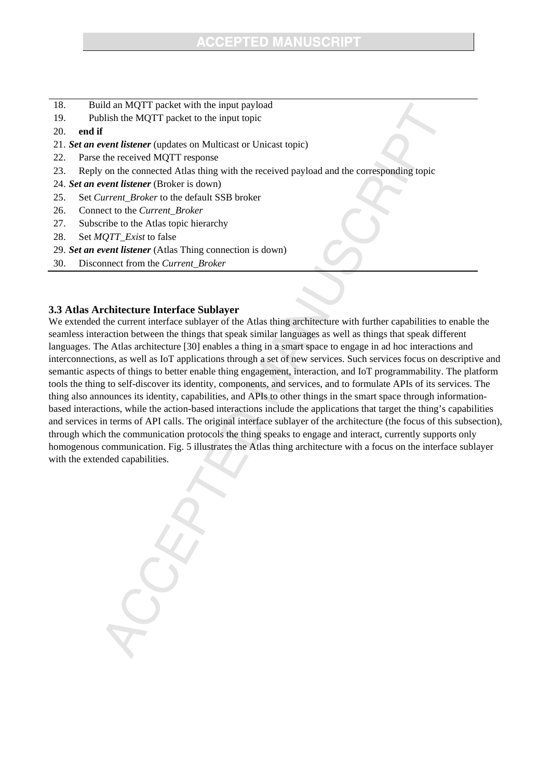- 18. Build an MQTT packet with the input payload
- 19. Publish the MQTT packet to the input topic
- 20. **end if**
- 21. *Set an event listener* (updates on Multicast or Unicast topic)
- 22. Parse the received MQTT response
- 23. Reply on the connected Atlas thing with the received payload and the corresponding topic
- 24. *Set an event listener* (Broker is down)
- 25. Set *Current\_Broker* to the default SSB broker
- 26. Connect to the *Current\_Broker*
- 27. Subscribe to the Atlas topic hierarchy
- 28. Set *MQTT\_Exist* to false
- 29. *Set an event listener* (Atlas Thing connection is down)
- 30. Disconnect from the *Current\_Broker*

## **3.3 Atlas Architecture Interface Sublayer**

We extended the current interface sublayer of the Atlas thing architecture with further capabilities to enable the seamless interaction between the things that speak similar languages as well as things that speak different languages. The Atlas architecture [30] enables a thing in a smart space to engage in ad hoc interactions and interconnections, as well as IoT applications through a set of new services. Such services focus on descriptive and semantic aspects of things to better enable thing engagement, interaction, and IoT programmability. The platform tools the thing to self-discover its identity, components, and services, and to formulate APIs of its services. The thing also announces its identity, capabilities, and APIs to other things in the smart space through informationbased interactions, while the action-based interactions include the applications that target the thing's capabilities and services in terms of API calls. The original interface sublayer of the architecture (the focus of this subsection), through which the communication protocols the thing speaks to engage and interact, currently supports only homogenous communication. Fig. 5 illustrates the Atlas thing architecture with a focus on the interface sublayer with the extended capabilities.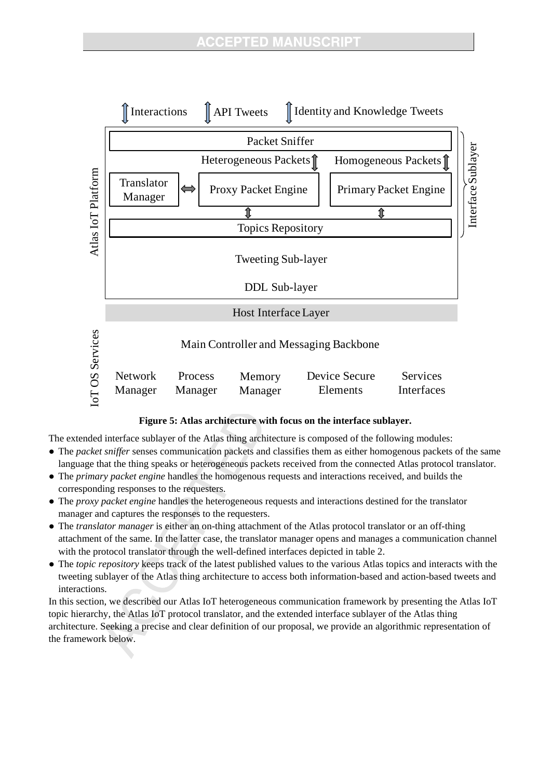

## **Figure 5: Atlas architecture with focus on the interface sublayer.**

The extended interface sublayer of the Atlas thing architecture is composed of the following modules:

- The *packet sniffer* senses communication packets and classifies them as either homogenous packets of the same language that the thing speaks or heterogeneous packets received from the connected Atlas protocol translator.
- The *primary packet engine* handles the homogenous requests and interactions received, and builds the corresponding responses to the requesters.
- The *proxy packet engine* handles the heterogeneous requests and interactions destined for the translator manager and captures the responses to the requesters.
- The *translator manager* is either an on-thing attachment of the Atlas protocol translator or an off-thing attachment of the same. In the latter case, the translator manager opens and manages a communication channel with the protocol translator through the well-defined interfaces depicted in table 2.
- The *topic repository* keeps track of the latest published values to the various Atlas topics and interacts with the tweeting sublayer of the Atlas thing architecture to access both information-based and action-based tweets and interactions.

In this section, we described our Atlas IoT heterogeneous communication framework by presenting the Atlas IoT topic hierarchy, the Atlas IoT protocol translator, and the extended interface sublayer of the Atlas thing architecture. Seeking a precise and clear definition of our proposal, we provide an algorithmic representation of the framework below.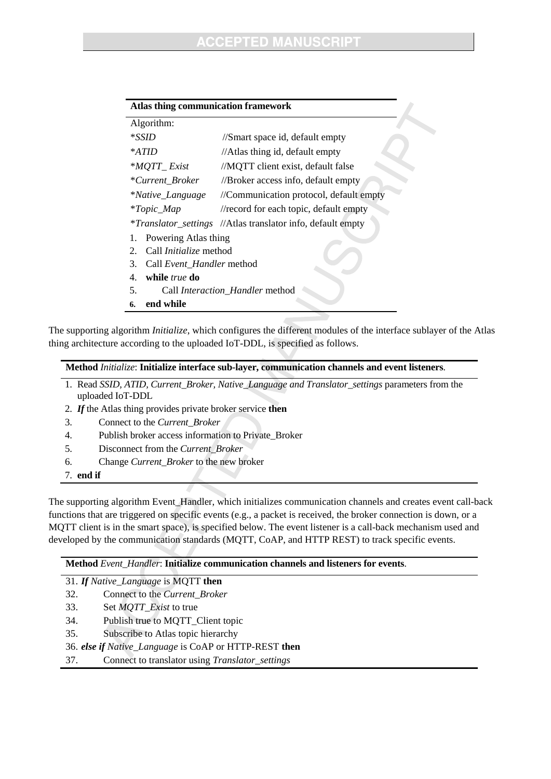| Algorithm:                               |                                                                    |  |  |
|------------------------------------------|--------------------------------------------------------------------|--|--|
| $*SSID$                                  | //Smart space id, default empty                                    |  |  |
| $*ATID$                                  | //Atlas thing id, default empty                                    |  |  |
| *MQTT_Exist                              | //MQTT client exist, default false                                 |  |  |
| *Current_Broker                          | //Broker access info, default empty                                |  |  |
| <i>*Native_Language</i>                  | //Communication protocol, default empty                            |  |  |
| <i>*Topic_Map</i>                        | //record for each topic, default empty                             |  |  |
|                                          | <i>*Translator_settings //Atlas translator info, default empty</i> |  |  |
| Powering Atlas thing<br>1.               |                                                                    |  |  |
| Call <i>Initialize</i> method<br>$2_{-}$ |                                                                    |  |  |
| Call Event_Handler method<br>3.          |                                                                    |  |  |
| while true do<br>4.                      |                                                                    |  |  |
| Call Interaction Handler method<br>5.    |                                                                    |  |  |
| end while<br>6.                          |                                                                    |  |  |

The supporting algorithm *Initialize*, which configures the different modules of the interface sublayer of the Atlas thing architecture according to the uploaded IoT-DDL, is specified as follows.

- 1. Read *SSID, ATID, Current\_Broker, Native\_Language and Translator\_settings* parameters from the uploaded IoT-DDL
- 2. *If* the Atlas thing provides private broker service **then**
- 3. Connect to the *Current\_Broker*
- 4. Publish broker access information to Private\_Broker
- 5. Disconnect from the *Current\_Broker*
- 6. Change *Current\_Broker* to the new broker

7. **end if** 

The supporting algorithm Event\_Handler, which initializes communication channels and creates event call-back functions that are triggered on specific events (e.g., a packet is received, the broker connection is down, or a MQTT client is in the smart space), is specified below. The event listener is a call-back mechanism used and developed by the communication standards (MQTT, CoAP, and HTTP REST) to track specific events.

#### **Method** *Event\_Handler*: **Initialize communication channels and listeners for events**.

| 31. If Native_Language is MQTT then |
|-------------------------------------|
|-------------------------------------|

- 32. Connect to the *Current\_Broker*
- 33. Set *MQTT\_Exist* to true
- 34. Publish true to MQTT\_Client topic
- 35. Subscribe to Atlas topic hierarchy
- 36. *else if Native\_Language* is CoAP or HTTP-REST **then**
- 37. Connect to translator using *Translator\_settings*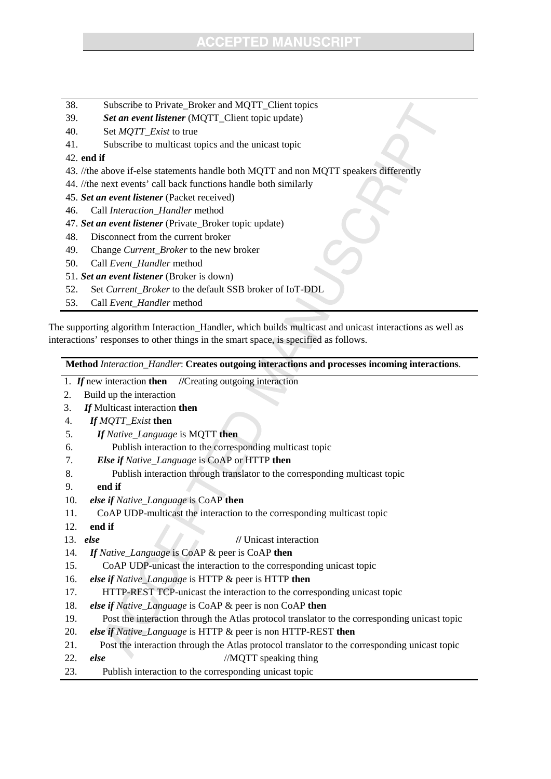- 38. Subscribe to Private\_Broker and MQTT\_Client topics
- 39. *Set an event listener* (MQTT\_Client topic update)
- 40. Set *MQTT\_Exist* to true
- 41. Subscribe to multicast topics and the unicast topic

## 42. **end if**

- 43. //the above if-else statements handle both MQTT and non MQTT speakers differently
- 44. //the next events' call back functions handle both similarly
- 45. *Set an event listener* (Packet received)
- 46. Call *Interaction\_Handler* method
- 47. *Set an event listener* (Private\_Broker topic update)
- 48. Disconnect from the current broker
- 49. Change *Current\_Broker* to the new broker
- 50. Call *Event\_Handler* method
- 51. *Set an event listener* (Broker is down)
- 52. Set *Current\_Broker* to the default SSB broker of IoT-DDL
- 53. Call *Event\_Handler* method

The supporting algorithm Interaction\_Handler, which builds multicast and unicast interactions as well as interactions' responses to other things in the smart space, is specified as follows.

**Method** *Interaction\_Handler*: **Creates outgoing interactions and processes incoming interactions**.

- 1. *If* new interaction **then //**Creating outgoing interaction
- 2. Build up the interaction
- 3. *If* Multicast interaction **then**
- 4. *If MQTT\_Exist* **then**
- 5. *If Native\_Language* is MQTT **then**
- 6. Publish interaction to the corresponding multicast topic
- 7. *Else if Native\_Language* is CoAP or HTTP **then**
- 8. Publish interaction through translator to the corresponding multicast topic
- 9. **end if**
- 10. *else if Native\_Language* is CoAP **then**
- 11. CoAP UDP-multicast the interaction to the corresponding multicast topic
- 12. **end if**
- 13. *else* **//** Unicast interaction
- 14.*If Native\_Language* is CoAP & peer is CoAP **then**
- 15. CoAP UDP-unicast the interaction to the corresponding unicast topic
- 16.*else if Native\_Language* is HTTP & peer is HTTP **then**
- 17. HTTP-REST TCP-unicast the interaction to the corresponding unicast topic
- 18.*else if Native\_Language* is CoAP & peer is non CoAP **then**
- 19. Post the interaction through the Atlas protocol translator to the corresponding unicast topic
- 20.*else if Native\_Language* is HTTP & peer is non HTTP-REST **then**
- 21. Post the interaction through the Atlas protocol translator to the corresponding unicast topic
- 22.*else* //MQTT speaking thing
- 23. Publish interaction to the corresponding unicast topic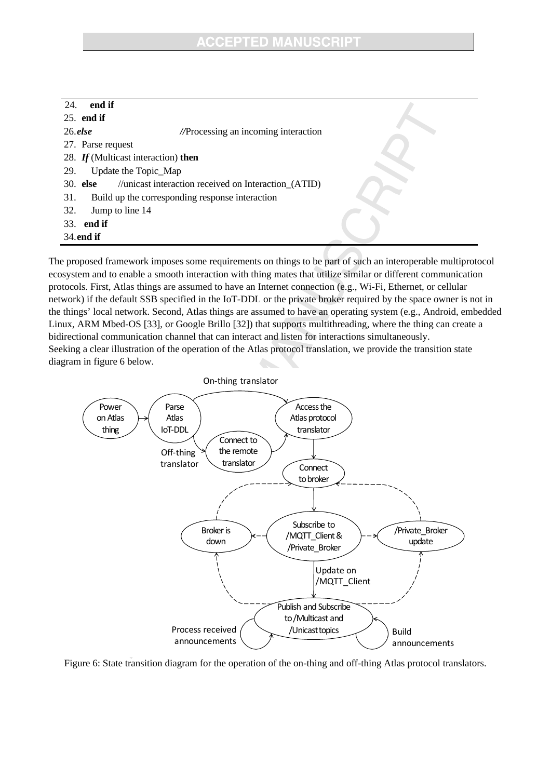| end if<br>24.                       |                                                      |  |
|-------------------------------------|------------------------------------------------------|--|
| $25.$ end if                        |                                                      |  |
| $26.$ else                          | //Processing an incoming interaction                 |  |
| 27. Parse request                   |                                                      |  |
| 28. If (Multicast interaction) then |                                                      |  |
| Update the Topic_Map<br>29.         |                                                      |  |
| 30. else                            | //unicast interaction received on Interaction_(ATID) |  |
| 31.                                 | Build up the corresponding response interaction      |  |
| Jump to line 14<br>32.              |                                                      |  |
| end if<br>33.                       |                                                      |  |
| 34. end if                          |                                                      |  |

The proposed framework imposes some requirements on things to be part of such an interoperable multiprotocol ecosystem and to enable a smooth interaction with thing mates that utilize similar or different communication protocols. First, Atlas things are assumed to have an Internet connection (e.g., Wi-Fi, Ethernet, or cellular network) if the default SSB specified in the IoT-DDL or the private broker required by the space owner is not in the things' local network. Second, Atlas things are assumed to have an operating system (e.g., Android, embedded Linux, ARM Mbed-OS [33], or Google Brillo [32]) that supports multithreading, where the thing can create a bidirectional communication channel that can interact and listen for interactions simultaneously. Seeking a clear illustration of the operation of the Atlas protocol translation, we provide the transition state diagram in figure 6 below.



Figure 6: State transition diagram for the operation of the on-thing and off-thing Atlas protocol translators.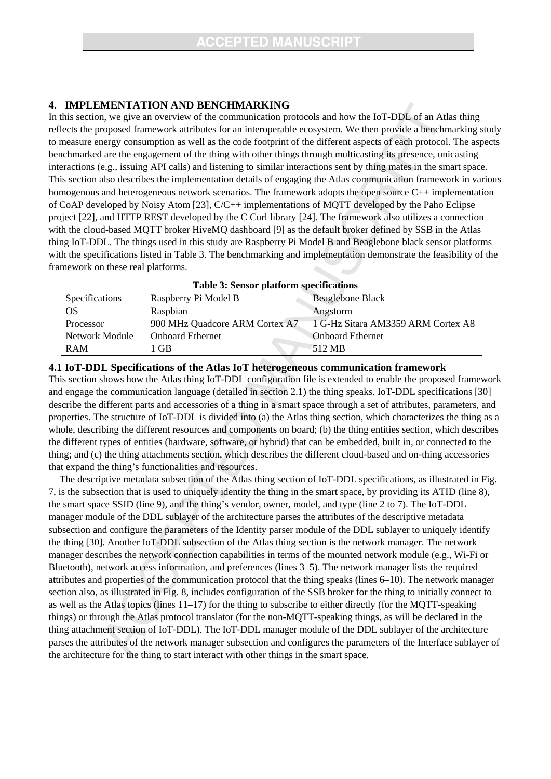## **4. IMPLEMENTATION AND BENCHMARKING**

In this section, we give an overview of the communication protocols and how the IoT-DDL of an Atlas thing reflects the proposed framework attributes for an interoperable ecosystem. We then provide a benchmarking study to measure energy consumption as well as the code footprint of the different aspects of each protocol. The aspects benchmarked are the engagement of the thing with other things through multicasting its presence, unicasting interactions (e.g., issuing API calls) and listening to similar interactions sent by thing mates in the smart space. This section also describes the implementation details of engaging the Atlas communication framework in various homogenous and heterogeneous network scenarios. The framework adopts the open source C++ implementation of CoAP developed by Noisy Atom [23], C/C++ implementations of MQTT developed by the Paho Eclipse project [22], and HTTP REST developed by the C Curl library [24]. The framework also utilizes a connection with the cloud-based MQTT broker HiveMQ dashboard [9] as the default broker defined by SSB in the Atlas thing IoT-DDL. The things used in this study are Raspberry Pi Model B and Beaglebone black sensor platforms with the specifications listed in Table 3. The benchmarking and implementation demonstrate the feasibility of the framework on these real platforms.

| Table 3: Sensor platform specifications |                                |                                    |  |
|-----------------------------------------|--------------------------------|------------------------------------|--|
| Specifications                          | Raspberry Pi Model B           | <b>Beaglebone Black</b>            |  |
| <b>OS</b>                               | Raspbian                       | Angstorm                           |  |
| Processor                               | 900 MHz Quadcore ARM Cortex A7 | 1 G-Hz Sitara AM3359 ARM Cortex A8 |  |
| Network Module                          | <b>Onboard Ethernet</b>        | <b>Onboard Ethernet</b>            |  |
| <b>RAM</b>                              | - GB                           | 512 MB                             |  |

### **4.1 IoT-DDL Specifications of the Atlas IoT heterogeneous communication framework**

This section shows how the Atlas thing IoT-DDL configuration file is extended to enable the proposed framework and engage the communication language (detailed in section 2.1) the thing speaks. IoT-DDL specifications [30] describe the different parts and accessories of a thing in a smart space through a set of attributes, parameters, and properties. The structure of IoT-DDL is divided into (a) the Atlas thing section, which characterizes the thing as a whole, describing the different resources and components on board; (b) the thing entities section, which describes the different types of entities (hardware, software, or hybrid) that can be embedded, built in, or connected to the thing; and (c) the thing attachments section, which describes the different cloud-based and on-thing accessories that expand the thing's functionalities and resources.

The descriptive metadata subsection of the Atlas thing section of IoT-DDL specifications, as illustrated in Fig. 7, is the subsection that is used to uniquely identity the thing in the smart space, by providing its ATID (line 8), the smart space SSID (line 9), and the thing's vendor, owner, model, and type (line 2 to 7). The IoT-DDL manager module of the DDL sublayer of the architecture parses the attributes of the descriptive metadata subsection and configure the parameters of the Identity parser module of the DDL sublayer to uniquely identify the thing [30]. Another IoT-DDL subsection of the Atlas thing section is the network manager. The network manager describes the network connection capabilities in terms of the mounted network module (e.g., Wi-Fi or Bluetooth), network access information, and preferences (lines 3–5). The network manager lists the required attributes and properties of the communication protocol that the thing speaks (lines 6–10). The network manager section also, as illustrated in Fig. 8, includes configuration of the SSB broker for the thing to initially connect to as well as the Atlas topics (lines 11–17) for the thing to subscribe to either directly (for the MQTT-speaking things) or through the Atlas protocol translator (for the non-MQTT-speaking things, as will be declared in the thing attachment section of IoT-DDL). The IoT-DDL manager module of the DDL sublayer of the architecture parses the attributes of the network manager subsection and configures the parameters of the Interface sublayer of the architecture for the thing to start interact with other things in the smart space.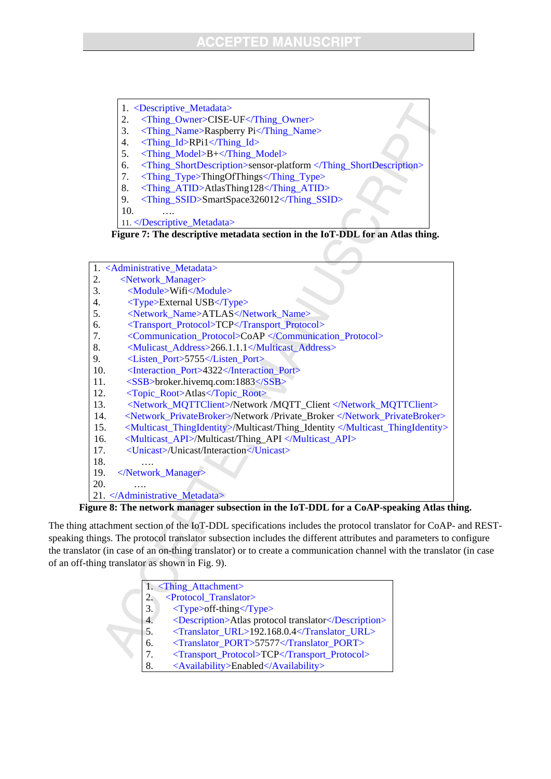- 1. <Descriptive\_Metadata>
- 2. <Thing\_Owner>CISE-UF</Thing\_Owner>
- 3. <Thing\_Name>Raspberry Pi</Thing\_Name>
- 4. <Thing\_Id>RPi1</Thing\_Id>
- 5. <Thing\_Model>B+</Thing\_Model>
- 6. <Thing\_ShortDescription>sensor-platform </Thing\_ShortDescription>
- 7. <Thing\_Type>ThingOfThings</Thing\_Type>
- 8. <Thing\_ATID>AtlasThing128</Thing\_ATID>
- 9. <Thing\_SSID>SmartSpace326012</Thing\_SSID>

10. ….

11. </Descriptive\_Metadata>

**Figure 7: The descriptive metadata section in the IoT-DDL for an Atlas thing.** 

| 1. <administrative_metadata></administrative_metadata>                               |
|--------------------------------------------------------------------------------------|
| <network_manager><br/>2.</network_manager>                                           |
| <module>Wifi</module><br>3.                                                          |
| 4.<br>$\langle \text{Type} \rangle$ External USB $\langle \text{Type} \rangle$       |
| <network_name>ATLAS</network_name><br>5.                                             |
| <transport_protocol>TCP</transport_protocol><br>6.                                   |
| <communication_protocol>CoAP </communication_protocol><br>7.                         |
| 8.<br><mulicast_address>266.1.1.1</mulicast_address>                                 |
| <listen port="">5755</listen><br>9.                                                  |
| <interaction port="">4322</interaction><br>10.                                       |
| 11.<br>$<$ SSB>broker.hivemq.com:1883 $<$ /SSB>                                      |
| <topic_root>Atlas</topic_root><br>12.                                                |
| 13.<br><network_mqttclient>/Network /MQTT_Client </network_mqttclient>               |
| <network_privatebroker>/Network /Private_Broker </network_privatebroker><br>14.      |
| <multicast_thingidentity>/Multicast/Thing_Identity </multicast_thingidentity><br>15. |
| <multicast_api>/Multicast/Thing_API </multicast_api><br>16.                          |
| <unicast>/Unicast/Interaction</unicast><br>17.                                       |
| 18.                                                                                  |
| <br>19.                                                                              |
| 20.                                                                                  |
| 21.                                                                                  |

**Figure 8: The network manager subsection in the IoT-DDL for a CoAP-speaking Atlas thing.** 

The thing attachment section of the IoT-DDL specifications includes the protocol translator for CoAP- and RESTspeaking things. The protocol translator subsection includes the different attributes and parameters to configure the translator (in case of an on-thing translator) or to create a communication channel with the translator (in case of an off-thing translator as shown in Fig. 9).

|    | 1. <thing_attachment></thing_attachment>                             |
|----|----------------------------------------------------------------------|
| 2. | <protocol_translator></protocol_translator>                          |
| 3. | $\langle \text{Type}\rangle$ of f-thing $\langle \text{Type}\rangle$ |
| 4. | <description>Atlas protocol translator</description>                 |
| 5. | <translator url="">192.168.0.4</translator>                          |
| 6. | <translator port="">57577</translator>                               |
|    | <transport_protocol>TCP</transport_protocol>                         |
| 8. | <availability>Enabled</availability>                                 |
|    |                                                                      |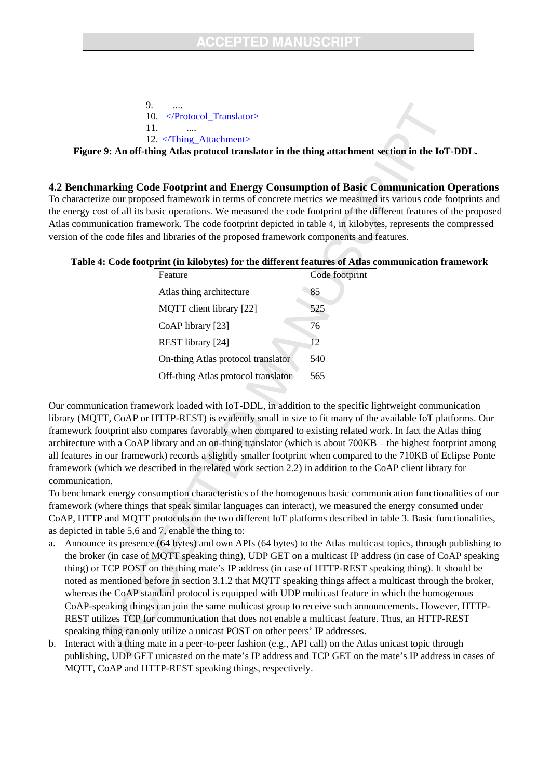## **CCEPTED MANUSCRIP1**

| $\cdots$                                                                          |  |
|-----------------------------------------------------------------------------------|--|
| $\vert$ 10. $\langle$ Protocol Translator>                                        |  |
|                                                                                   |  |
| $\vert$ 12. $\langle$ Thing_Attachment $\rangle$                                  |  |
| $'$ thing Atlas nuctural two relates in the thing often hypert section in the LeT |  |

**Figure 9: An off-thing Atlas protocol translator in the thing attachment section in the IoT-DDL.** 

#### **4.2 Benchmarking Code Footprint and Energy Consumption of Basic Communication Operations**

To characterize our proposed framework in terms of concrete metrics we measured its various code footprints and the energy cost of all its basic operations. We measured the code footprint of the different features of the proposed Atlas communication framework. The code footprint depicted in table 4, in kilobytes, represents the compressed version of the code files and libraries of the proposed framework components and features.

#### **Table 4: Code footprint (in kilobytes) for the different features of Atlas communication framework**

| Feature                             | Code footprint |
|-------------------------------------|----------------|
| Atlas thing architecture            | 85             |
| MQTT client library [22]            | 525            |
| CoAP library [23]                   | 76             |
| REST library [24]                   | 12             |
| On-thing Atlas protocol translator  | 540            |
| Off-thing Atlas protocol translator | 565            |

Our communication framework loaded with IoT-DDL, in addition to the specific lightweight communication library (MQTT, CoAP or HTTP-REST) is evidently small in size to fit many of the available IoT platforms. Our framework footprint also compares favorably when compared to existing related work. In fact the Atlas thing architecture with a CoAP library and an on-thing translator (which is about 700KB – the highest footprint among all features in our framework) records a slightly smaller footprint when compared to the 710KB of Eclipse Ponte framework (which we described in the related work section 2.2) in addition to the CoAP client library for communication.

To benchmark energy consumption characteristics of the homogenous basic communication functionalities of our framework (where things that speak similar languages can interact), we measured the energy consumed under CoAP, HTTP and MQTT protocols on the two different IoT platforms described in table 3. Basic functionalities, as depicted in table 5,6 and 7, enable the thing to:

- a. Announce its presence (64 bytes) and own APIs (64 bytes) to the Atlas multicast topics, through publishing to the broker (in case of MQTT speaking thing), UDP GET on a multicast IP address (in case of CoAP speaking thing) or TCP POST on the thing mate's IP address (in case of HTTP-REST speaking thing). It should be noted as mentioned before in section 3.1.2 that MQTT speaking things affect a multicast through the broker, whereas the CoAP standard protocol is equipped with UDP multicast feature in which the homogenous CoAP-speaking things can join the same multicast group to receive such announcements. However, HTTP-REST utilizes TCP for communication that does not enable a multicast feature. Thus, an HTTP-REST speaking thing can only utilize a unicast POST on other peers' IP addresses.
- b. Interact with a thing mate in a peer-to-peer fashion (e.g., API call) on the Atlas unicast topic through publishing, UDP GET unicasted on the mate's IP address and TCP GET on the mate's IP address in cases of MQTT, CoAP and HTTP-REST speaking things, respectively.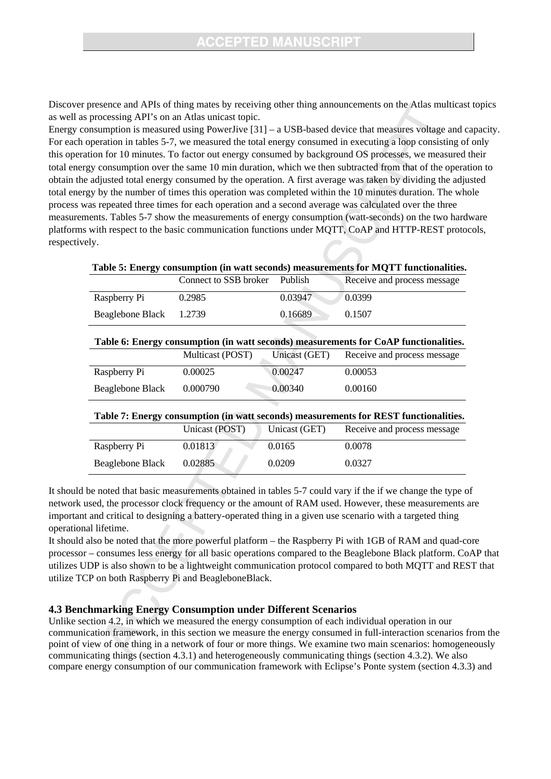Discover presence and APIs of thing mates by receiving other thing announcements on the Atlas multicast topics as well as processing API's on an Atlas unicast topic.

Energy consumption is measured using PowerJive [31] – a USB-based device that measures voltage and capacity. For each operation in tables 5-7, we measured the total energy consumed in executing a loop consisting of only this operation for 10 minutes. To factor out energy consumed by background OS processes, we measured their total energy consumption over the same 10 min duration, which we then subtracted from that of the operation to obtain the adjusted total energy consumed by the operation. A first average was taken by dividing the adjusted total energy by the number of times this operation was completed within the 10 minutes duration. The whole process was repeated three times for each operation and a second average was calculated over the three measurements. Tables 5-7 show the measurements of energy consumption (watt-seconds) on the two hardware platforms with respect to the basic communication functions under MQTT, CoAP and HTTP-REST protocols, respectively.

| Table 5: Energy consumption (in watt seconds) measurements for MQTT functionalities. |                                                                                      |               |                             |  |
|--------------------------------------------------------------------------------------|--------------------------------------------------------------------------------------|---------------|-----------------------------|--|
|                                                                                      | Connect to SSB broker                                                                | Publish       | Receive and process message |  |
| Raspberry Pi                                                                         | 0.2985                                                                               | 0.03947       | 0.0399                      |  |
| Beaglebone Black                                                                     | 1.2739                                                                               | 0.16689       | 0.1507                      |  |
|                                                                                      |                                                                                      |               |                             |  |
|                                                                                      | Table 6: Energy consumption (in watt seconds) measurements for CoAP functionalities. |               |                             |  |
|                                                                                      | Multicast (POST)                                                                     | Unicast (GET) | Receive and process message |  |
| Raspberry Pi                                                                         | 0.00025                                                                              | 0.00247       | 0.00053                     |  |
| Beaglebone Black                                                                     | 0.000790                                                                             | 0.00340       | 0.00160                     |  |
|                                                                                      |                                                                                      |               |                             |  |
| Table 7: Energy consumption (in watt seconds) measurements for REST functionalities. |                                                                                      |               |                             |  |
|                                                                                      | Unicast (POST)                                                                       | Unicast (GET) | Receive and process message |  |
| Raspberry Pi                                                                         | 0.01813                                                                              | 0.0165        | 0.0078                      |  |
| Beaglebone Black                                                                     | 0.02885                                                                              | 0.0209        | 0.0327                      |  |

It should be noted that basic measurements obtained in tables 5-7 could vary if the if we change the type of network used, the processor clock frequency or the amount of RAM used. However, these measurements are important and critical to designing a battery-operated thing in a given use scenario with a targeted thing operational lifetime.

It should also be noted that the more powerful platform – the Raspberry Pi with 1GB of RAM and quad-core processor – consumes less energy for all basic operations compared to the Beaglebone Black platform. CoAP that utilizes UDP is also shown to be a lightweight communication protocol compared to both MQTT and REST that utilize TCP on both Raspberry Pi and BeagleboneBlack.

#### **4.3 Benchmarking Energy Consumption under Different Scenarios**

Unlike section 4.2, in which we measured the energy consumption of each individual operation in our communication framework, in this section we measure the energy consumed in full-interaction scenarios from the point of view of one thing in a network of four or more things. We examine two main scenarios: homogeneously communicating things (section 4.3.1) and heterogeneously communicating things (section 4.3.2). We also compare energy consumption of our communication framework with Eclipse's Ponte system (section 4.3.3) and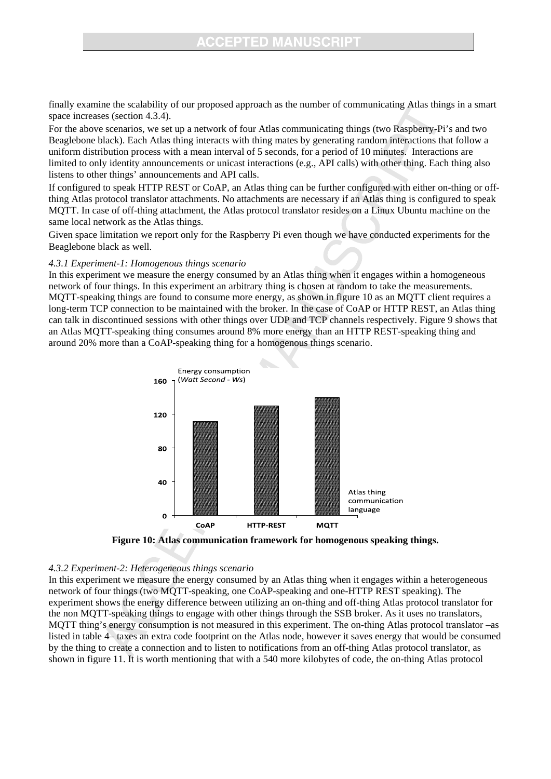## **CEPTED MANUSC**

finally examine the scalability of our proposed approach as the number of communicating Atlas things in a smart space increases (section 4.3.4).

For the above scenarios, we set up a network of four Atlas communicating things (two Raspberry-Pi's and two Beaglebone black). Each Atlas thing interacts with thing mates by generating random interactions that follow a uniform distribution process with a mean interval of 5 seconds, for a period of 10 minutes. Interactions are limited to only identity announcements or unicast interactions (e.g., API calls) with other thing. Each thing also listens to other things' announcements and API calls.

If configured to speak HTTP REST or CoAP, an Atlas thing can be further configured with either on-thing or offthing Atlas protocol translator attachments. No attachments are necessary if an Atlas thing is configured to speak MQTT. In case of off-thing attachment, the Atlas protocol translator resides on a Linux Ubuntu machine on the same local network as the Atlas things.

Given space limitation we report only for the Raspberry Pi even though we have conducted experiments for the Beaglebone black as well.

#### *4.3.1 Experiment-1: Homogenous things scenario*

In this experiment we measure the energy consumed by an Atlas thing when it engages within a homogeneous network of four things. In this experiment an arbitrary thing is chosen at random to take the measurements. MQTT-speaking things are found to consume more energy, as shown in figure 10 as an MQTT client requires a long-term TCP connection to be maintained with the broker. In the case of CoAP or HTTP REST, an Atlas thing can talk in discontinued sessions with other things over UDP and TCP channels respectively. Figure 9 shows that an Atlas MQTT-speaking thing consumes around 8% more energy than an HTTP REST-speaking thing and around 20% more than a CoAP-speaking thing for a homogenous things scenario.



**Figure 10: Atlas communication framework for homogenous speaking things.** 

#### *4.3.2 Experiment-2: Heterogeneous things scenario*

In this experiment we measure the energy consumed by an Atlas thing when it engages within a heterogeneous network of four things (two MQTT-speaking, one CoAP-speaking and one-HTTP REST speaking). The experiment shows the energy difference between utilizing an on-thing and off-thing Atlas protocol translator for the non MQTT-speaking things to engage with other things through the SSB broker. As it uses no translators, MQTT thing's energy consumption is not measured in this experiment. The on-thing Atlas protocol translator –as listed in table 4– taxes an extra code footprint on the Atlas node, however it saves energy that would be consumed by the thing to create a connection and to listen to notifications from an off-thing Atlas protocol translator, as shown in figure 11. It is worth mentioning that with a 540 more kilobytes of code, the on-thing Atlas protocol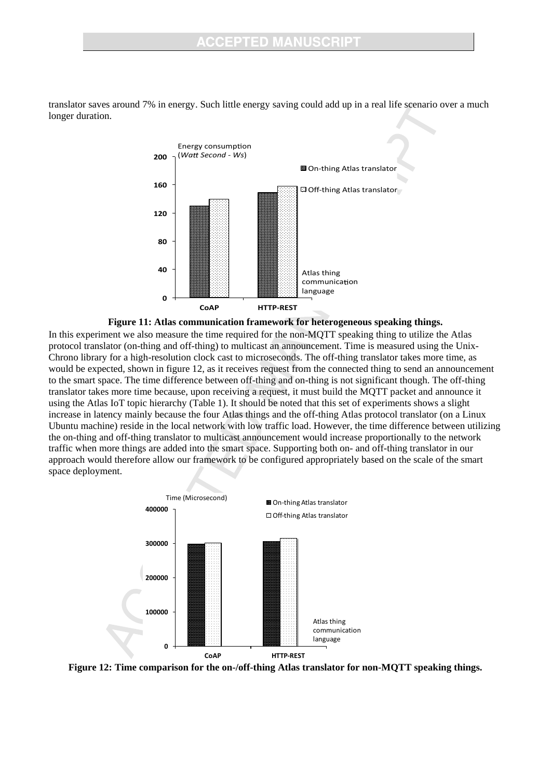

translator saves around 7% in energy. Such little energy saving could add up in a real life scenario over a much longer duration.



In this experiment we also measure the time required for the non-MQTT speaking thing to utilize the Atlas protocol translator (on-thing and off-thing) to multicast an announcement. Time is measured using the Unix-Chrono library for a high-resolution clock cast to microseconds. The off-thing translator takes more time, as would be expected, shown in figure 12, as it receives request from the connected thing to send an announcement to the smart space. The time difference between off-thing and on-thing is not significant though. The off-thing translator takes more time because, upon receiving a request, it must build the MQTT packet and announce it using the Atlas IoT topic hierarchy (Table 1). It should be noted that this set of experiments shows a slight increase in latency mainly because the four Atlas things and the off-thing Atlas protocol translator (on a Linux Ubuntu machine) reside in the local network with low traffic load. However, the time difference between utilizing the on-thing and off-thing translator to multicast announcement would increase proportionally to the network traffic when more things are added into the smart space. Supporting both on- and off-thing translator in our approach would therefore allow our framework to be configured appropriately based on the scale of the smart space deployment.



**Figure 12: Time comparison for the on-/off-thing Atlas translator for non-MQTT speaking things.**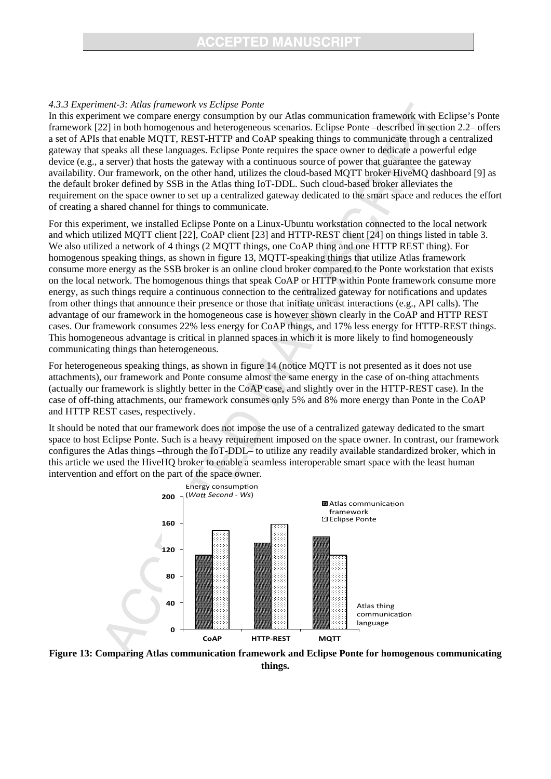#### *4.3.3 Experiment-3: Atlas framework vs Eclipse Ponte*

In this experiment we compare energy consumption by our Atlas communication framework with Eclipse's Ponte framework [22] in both homogenous and heterogeneous scenarios. Eclipse Ponte –described in section 2.2– offers a set of APIs that enable MQTT, REST-HTTP and CoAP speaking things to communicate through a centralized gateway that speaks all these languages. Eclipse Ponte requires the space owner to dedicate a powerful edge device (e.g., a server) that hosts the gateway with a continuous source of power that guarantee the gateway availability. Our framework, on the other hand, utilizes the cloud-based MQTT broker HiveMQ dashboard [9] as the default broker defined by SSB in the Atlas thing IoT-DDL. Such cloud-based broker alleviates the requirement on the space owner to set up a centralized gateway dedicated to the smart space and reduces the effort of creating a shared channel for things to communicate.

For this experiment, we installed Eclipse Ponte on a Linux-Ubuntu workstation connected to the local network and which utilized MQTT client [22], CoAP client [23] and HTTP-REST client [24] on things listed in table 3. We also utilized a network of 4 things (2 MQTT things, one CoAP thing and one HTTP REST thing). For homogenous speaking things, as shown in figure 13, MQTT-speaking things that utilize Atlas framework consume more energy as the SSB broker is an online cloud broker compared to the Ponte workstation that exists on the local network. The homogenous things that speak CoAP or HTTP within Ponte framework consume more energy, as such things require a continuous connection to the centralized gateway for notifications and updates from other things that announce their presence or those that initiate unicast interactions (e.g., API calls). The advantage of our framework in the homogeneous case is however shown clearly in the CoAP and HTTP REST cases. Our framework consumes 22% less energy for CoAP things, and 17% less energy for HTTP-REST things. This homogeneous advantage is critical in planned spaces in which it is more likely to find homogeneously communicating things than heterogeneous.

For heterogeneous speaking things, as shown in figure 14 (notice MQTT is not presented as it does not use attachments), our framework and Ponte consume almost the same energy in the case of on-thing attachments (actually our framework is slightly better in the CoAP case, and slightly over in the HTTP-REST case). In the case of off-thing attachments, our framework consumes only 5% and 8% more energy than Ponte in the CoAP and HTTP REST cases, respectively.

It should be noted that our framework does not impose the use of a centralized gateway dedicated to the smart space to host Eclipse Ponte. Such is a heavy requirement imposed on the space owner. In contrast, our framework configures the Atlas things –through the IoT-DDL– to utilize any readily available standardized broker, which in this article we used the HiveHQ broker to enable a seamless interoperable smart space with the least human intervention and effort on the part of the space owner.



**Figure 13: Comparing Atlas communication framework and Eclipse Ponte for homogenous communicating things.**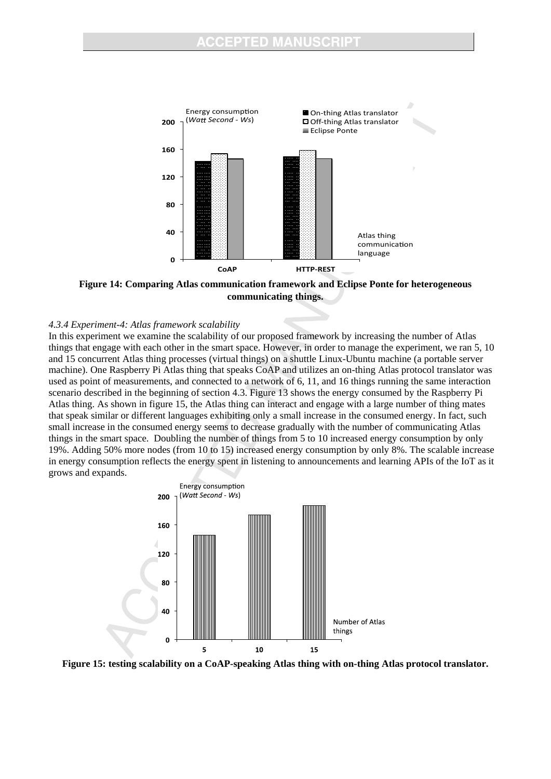

**Figure 14: Comparing Atlas communication framework and Eclipse Ponte for heterogeneous communicating things.** 

#### *4.3.4 Experiment-4: Atlas framework scalability*

In this experiment we examine the scalability of our proposed framework by increasing the number of Atlas things that engage with each other in the smart space. However, in order to manage the experiment, we ran 5, 10 and 15 concurrent Atlas thing processes (virtual things) on a shuttle Linux-Ubuntu machine (a portable server machine). One Raspberry Pi Atlas thing that speaks CoAP and utilizes an on-thing Atlas protocol translator was used as point of measurements, and connected to a network of 6, 11, and 16 things running the same interaction scenario described in the beginning of section 4.3. Figure 13 shows the energy consumed by the Raspberry Pi Atlas thing. As shown in figure 15, the Atlas thing can interact and engage with a large number of thing mates that speak similar or different languages exhibiting only a small increase in the consumed energy. In fact, such small increase in the consumed energy seems to decrease gradually with the number of communicating Atlas things in the smart space. Doubling the number of things from 5 to 10 increased energy consumption by only 19%. Adding 50% more nodes (from 10 to 15) increased energy consumption by only 8%. The scalable increase in energy consumption reflects the energy spent in listening to announcements and learning APIs of the IoT as it grows and expands.



**Figure 15: testing scalability on a CoAP-speaking Atlas thing with on-thing Atlas protocol translator.**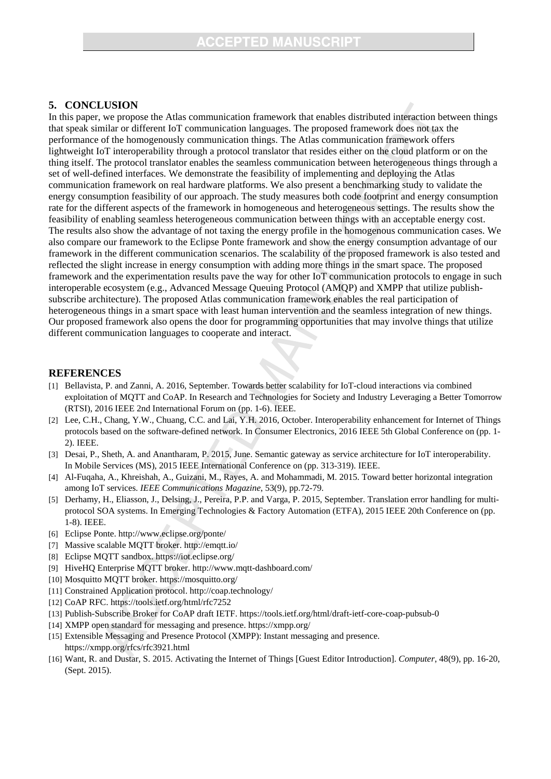### **5. CONCLUSION**

In this paper, we propose the Atlas communication framework that enables distributed interaction between things that speak similar or different IoT communication languages. The proposed framework does not tax the performance of the homogenously communication things. The Atlas communication framework offers lightweight IoT interoperability through a protocol translator that resides either on the cloud platform or on the thing itself. The protocol translator enables the seamless communication between heterogeneous things through a set of well-defined interfaces. We demonstrate the feasibility of implementing and deploying the Atlas communication framework on real hardware platforms. We also present a benchmarking study to validate the energy consumption feasibility of our approach. The study measures both code footprint and energy consumption rate for the different aspects of the framework in homogeneous and heterogeneous settings. The results show the feasibility of enabling seamless heterogeneous communication between things with an acceptable energy cost. The results also show the advantage of not taxing the energy profile in the homogenous communication cases. We also compare our framework to the Eclipse Ponte framework and show the energy consumption advantage of our framework in the different communication scenarios. The scalability of the proposed framework is also tested and reflected the slight increase in energy consumption with adding more things in the smart space. The proposed framework and the experimentation results pave the way for other IoT communication protocols to engage in such interoperable ecosystem (e.g., Advanced Message Queuing Protocol (AMQP) and XMPP that utilize publishsubscribe architecture). The proposed Atlas communication framework enables the real participation of heterogeneous things in a smart space with least human intervention and the seamless integration of new things. Our proposed framework also opens the door for programming opportunities that may involve things that utilize different communication languages to cooperate and interact.

#### **REFERENCES**

- [1] Bellavista, P. and Zanni, A. 2016, September. Towards better scalability for IoT-cloud interactions via combined exploitation of MQTT and CoAP. In Research and Technologies for Society and Industry Leveraging a Better Tomorrow (RTSI), 2016 IEEE 2nd International Forum on (pp. 1-6). IEEE.
- [2] Lee, C.H., Chang, Y.W., Chuang, C.C. and Lai, Y.H. 2016, October. Interoperability enhancement for Internet of Things protocols based on the software-defined network. In Consumer Electronics, 2016 IEEE 5th Global Conference on (pp. 1- 2). IEEE.
- [3] Desai, P., Sheth, A. and Anantharam, P. 2015, June. Semantic gateway as service architecture for IoT interoperability. In Mobile Services (MS), 2015 IEEE International Conference on (pp. 313-319). IEEE.
- [4] Al-Fuqaha, A., Khreishah, A., Guizani, M., Rayes, A. and Mohammadi, M. 2015. Toward better horizontal integration among IoT services. *IEEE Communications Magazine*, 53(9), pp.72-79.
- [5] Derhamy, H., Eliasson, J., Delsing, J., Pereira, P.P. and Varga, P. 2015, September. Translation error handling for multiprotocol SOA systems. In Emerging Technologies & Factory Automation (ETFA), 2015 IEEE 20th Conference on (pp. 1-8). IEEE.
- [6] Eclipse Ponte. http://www.eclipse.org/ponte/
- [7] Massive scalable MQTT broker. http://emqtt.io/
- [8] Eclipse MQTT sandbox. https://iot.eclipse.org/
- [9] HiveHQ Enterprise MQTT broker. http://www.mqtt-dashboard.com/
- [10] Mosquitto MQTT broker. https://mosquitto.org/
- [11] Constrained Application protocol. http://coap.technology/
- [12] CoAP RFC. https://tools.ietf.org/html/rfc7252
- [13] Publish-Subscribe Broker for CoAP draft IETF. https://tools.ietf.org/html/draft-ietf-core-coap-pubsub-0
- [14] XMPP open standard for messaging and presence. https://xmpp.org/
- [15] Extensible Messaging and Presence Protocol (XMPP): Instant messaging and presence. https://xmpp.org/rfcs/rfc3921.html
- [16] Want, R. and Dustar, S. 2015. Activating the Internet of Things [Guest Editor Introduction]. *Computer*, 48(9), pp. 16-20, (Sept. 2015).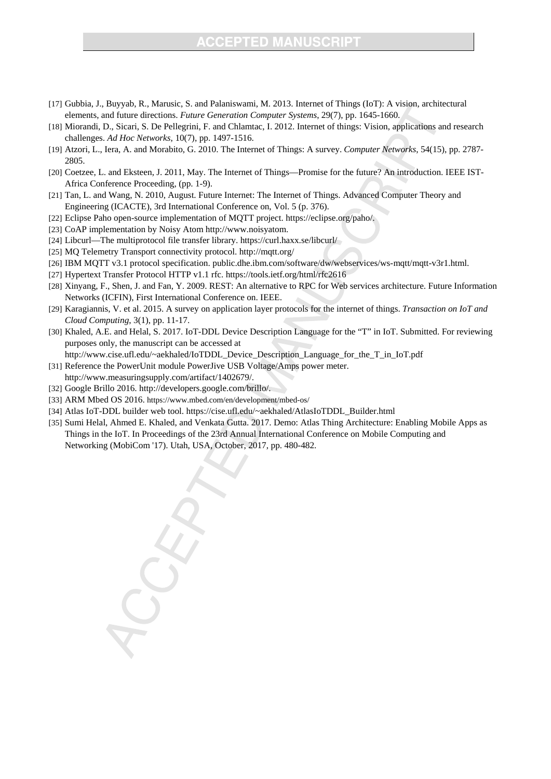## **CCEPTED MANUSCRIPT**

- [17] Gubbia, J., Buyyab, R., Marusic, S. and Palaniswami, M. 2013. Internet of Things (IoT): A vision, architectural elements, and future directions. *Future Generation Computer Systems*, 29(7), pp. 1645-1660.
- [18] Miorandi, D., Sicari, S. De Pellegrini, F. and Chlamtac, I. 2012. Internet of things: Vision, applications and research challenges. *Ad Hoc Networks*, 10(7), pp. 1497-1516.
- [19] Atzori, L., Iera, A. and Morabito, G. 2010. The Internet of Things: A survey. *Computer Networks*, 54(15), pp. 2787- 2805.
- [20] Coetzee, L. and Eksteen, J. 2011, May. The Internet of Things—Promise for the future? An introduction. IEEE IST-Africa Conference Proceeding, (pp. 1-9).
- [21] Tan, L. and Wang, N. 2010, August. Future Internet: The Internet of Things. Advanced Computer Theory and Engineering (ICACTE), 3rd International Conference on, Vol. 5 (p. 376).
- [22] Eclipse Paho open-source implementation of MQTT project. https://eclipse.org/paho/.
- [23] CoAP implementation by Noisy Atom http://www.noisyatom.
- [24] Libcurl—The multiprotocol file transfer library. https://curl.haxx.se/libcurl/
- [25] MQ Telemetry Transport connectivity protocol. http://mqtt.org/
- [26] IBM MQTT v3.1 protocol specification. public.dhe.ibm.com/software/dw/webservices/ws-mqtt/mqtt-v3r1.html.
- [27] Hypertext Transfer Protocol HTTP v1.1 rfc. https://tools.ietf.org/html/rfc2616
- [28] Xinyang, F., Shen, J. and Fan, Y. 2009. REST: An alternative to RPC for Web services architecture. Future Information Networks (ICFIN), First International Conference on. IEEE.
- [29] Karagiannis, V. et al. 2015. A survey on application layer protocols for the internet of things. *Transaction on IoT and Cloud Computing*, 3(1), pp. 11-17.
- [30] Khaled, A.E. and Helal, S. 2017. IoT-DDL Device Description Language for the "T" in IoT. Submitted. For reviewing purposes only, the manuscript can be accessed at http://www.cise.ufl.edu/~aekhaled/IoTDDL\_Device\_Description\_Language\_for\_the\_T\_in\_IoT.pdf
- [31] Reference the PowerUnit module PowerJive USB Voltage/Amps power meter. http://www.measuringsupply.com/artifact/1402679/.
- [32] Google Brillo 2016. http://developers.google.com/brillo/.
- [33] ARM Mbed OS 2016. https://www.mbed.com/en/development/mbed-os/
- [34] Atlas IoT-DDL builder web tool. https://cise.ufl.edu/~aekhaled/AtlasIoTDDL\_Builder.html
- [35] Sumi Helal, Ahmed E. Khaled, and Venkata Gutta. 2017. Demo: Atlas Thing Architecture: Enabling Mobile Apps as Things in the IoT. In Proceedings of the 23rd Annual International Conference on Mobile Computing and Networking (MobiCom '17). Utah, USA, October, 2017, pp. 480-482.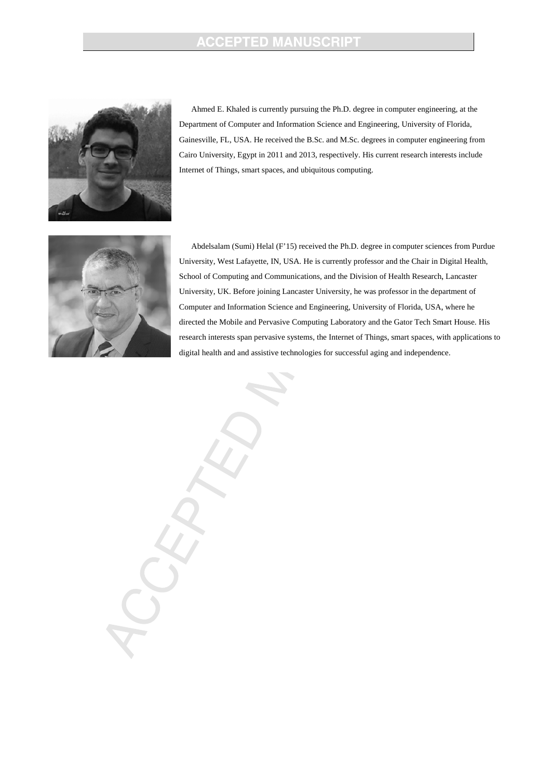## **ACCEPTED MANUSCRIPT**



Ahmed E. Khaled is currently pursuing the Ph.D. degree in computer engineering, at the Department of Computer and Information Science and Engineering, University of Florida, Gainesville, FL, USA. He received the B.Sc. and M.Sc. degrees in computer engineering from Cairo University, Egypt in 2011 and 2013, respectively. His current research interests include Internet of Things, smart spaces, and ubiquitous computing.



Abdelsalam (Sumi) Helal (F'15) received the Ph.D. degree in computer sciences from Purdue University, West Lafayette, IN, USA. He is currently professor and the Chair in Digital Health, School of Computing and Communications, and the Division of Health Research, Lancaster University, UK. Before joining Lancaster University, he was professor in the department of Computer and Information Science and Engineering, University of Florida, USA, where he directed the Mobile and Pervasive Computing Laboratory and the Gator Tech Smart House. His research interests span pervasive systems, the Internet of Things, smart spaces, with applications to digital health and and assistive technologies for successful aging and independence.